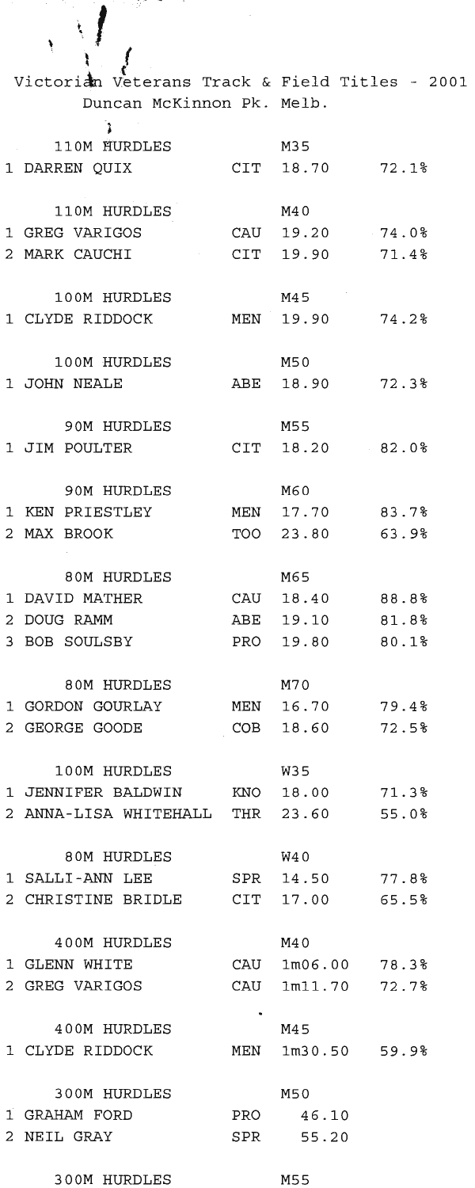| ١                                                                           |     |                        |                   |  |
|-----------------------------------------------------------------------------|-----|------------------------|-------------------|--|
|                                                                             |     |                        |                   |  |
| Victorian Veterans Track & Field Titles - 2001<br>Duncan McKinnon Pk. Melb. |     |                        |                   |  |
| 1                                                                           |     |                        |                   |  |
| 110M HURDLES                                                                |     | M35                    |                   |  |
| 1 DARREN QUIX                                                               |     | CIT 18.70              | 72.1%             |  |
|                                                                             |     |                        |                   |  |
| 110M HURDLES                                                                |     | M40                    |                   |  |
| 1 GREG VARIGOS                                                              |     | CAU 19.20              | 74.0%             |  |
| 2 MARK CAUCHI                                                               |     | CIT 19.90              | 71.4%             |  |
|                                                                             |     |                        |                   |  |
| 100M HURDLES<br>1 CLYDE RIDDOCK                                             |     | M45<br>MEN 19.90       | 74.2%             |  |
|                                                                             |     |                        |                   |  |
| 100M HURDLES                                                                |     | M50                    |                   |  |
| 1 JOHN NEALE                                                                |     | ABE 18.90              | 72.3%             |  |
|                                                                             |     |                        |                   |  |
| <b>90M HURDLES</b>                                                          |     | M55                    |                   |  |
| 1 JIM POULTER                                                               |     | CIT 18.20              | 82.0%             |  |
|                                                                             |     |                        |                   |  |
| 90M HURDLES                                                                 |     | M60                    |                   |  |
| 1 KEN PRIESTLEY<br>2 MAX BROOK                                              |     | MEN 17.70<br>TOO 23.80 | 83.7%<br>63.9%    |  |
|                                                                             |     |                        |                   |  |
| 80M HURDLES                                                                 |     | M65                    |                   |  |
| 1 DAVID MATHER                                                              |     | CAU 18.40              | 88.8%             |  |
| 2 DOUG RAMM                                                                 |     | ABE 19.10              | 81.8%             |  |
| 3 BOB SOULSBY                                                               |     | PRO 19.80              | 80.1%             |  |
|                                                                             |     |                        |                   |  |
| 80M HURDLES                                                                 |     | M70                    |                   |  |
| 1 GORDON GOURLAY<br>2 GEORGE GOODE                                          |     | MEN 16.70<br>18.60     | 79.48             |  |
|                                                                             | COB |                        | 72.5%             |  |
| 100M HURDLES                                                                |     | W35                    |                   |  |
| 1 JENNIFER BALDWIN KNO 18.00 71.3%                                          |     |                        |                   |  |
| 2 ANNA-LISA WHITEHALL THR                                                   |     | 23.60                  | 55.0%             |  |
|                                                                             |     |                        |                   |  |
| 80M HURDLES                                                                 |     | W4 0                   |                   |  |
| 1 SALLI-ANN LEE                                                             |     |                        | SPR 14.50 77.8%   |  |
| 2 CHRISTINE BRIDLE CIT 17.00 65.5%                                          |     |                        |                   |  |
| 400M HURDLES                                                                |     | M4 0                   |                   |  |
| 1 GLENN WHITE                                                               |     |                        | CAU 1m06.00 78.3% |  |
| 2 GREG VARIGOS                                                              |     |                        | CAU 1m11.70 72.7% |  |
|                                                                             |     |                        |                   |  |
| 400M HURDLES                                                                |     | M45                    |                   |  |
| 1 CLYDE RIDDOCK                                                             |     |                        | MEN 1m30.50 59.9% |  |
|                                                                             |     |                        |                   |  |
| 300M HURDLES                                                                |     | M50                    |                   |  |
| 1 GRAHAM FORD                                                               |     | PRO 46.10              |                   |  |
| 2 NEIL GRAY                                                                 |     | SPR 55.20              |                   |  |
| 300M HURDLES                                                                |     | M55                    |                   |  |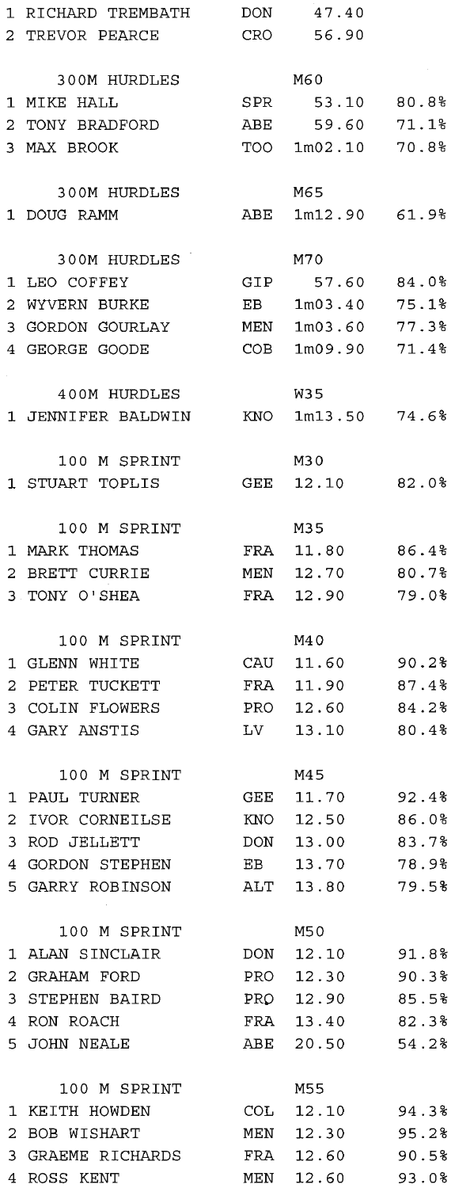|   | 1 RICHARD TREMBATH | DON  | 47.40           |       |
|---|--------------------|------|-----------------|-------|
|   | 2 TREVOR PEARCE    |      | CRO 56.90       |       |
|   |                    |      |                 |       |
|   | 300M HURDLES       |      | M60             |       |
|   | 1 MIKE HALL        | SPR  | 53.10 80.8%     |       |
|   | 2 TONY BRADFORD    | ABE  | 59.60           | 71.1% |
|   |                    |      |                 |       |
|   | 3 MAX BROOK        | TOO  | 1m02.10 70.8%   |       |
|   |                    |      |                 |       |
|   | 300M HURDLES       |      | M65             |       |
|   | 1 DOUG RAMM        | ABE  | 1m12.90 61.98   |       |
|   |                    |      |                 |       |
|   | 300M HURDLES       |      | M70             |       |
|   | 1 LEO COFFEY       |      | GIP 57.60       | 84.0% |
|   | 2 WYVERN BURKE     | EB   | 1m03.40         | 75.1% |
|   | 3 GORDON GOURLAY   | MEN  | 1m03.60         | 77.3% |
|   | 4 GEORGE GOODE     | COB  | 1m09.90         | 71.4% |
|   |                    |      |                 |       |
|   | 400M HURDLES       |      | W35             |       |
|   | 1 JENNIFER BALDWIN | KNO  | $1m13.50$ 74.6% |       |
|   |                    |      |                 |       |
|   | 100 M SPRINT       |      | M30             |       |
|   |                    |      |                 | 82.0% |
|   | 1 STUART TOPLIS    | GEE  | 12.10           |       |
|   |                    |      |                 |       |
|   | 100 M SPRINT       |      | M35             |       |
|   | 1 MARK THOMAS      | FRA  | 11.80           | 86.4% |
|   | 2 BRETT CURRIE     | MEN  | 12.70           | 80.7% |
|   | 3 TONY O'SHEA      | FRA  | 12.90           | 79.0% |
|   |                    |      |                 |       |
|   | 100 M SPRINT       |      | M4 0            |       |
|   | 1 GLENN WHITE      | CAU  | 11.60           | 90.2% |
|   | 2 PETER TUCKETT    | FRA  | 11.90           | 87.4% |
|   | 3 COLIN FLOWERS    | PRO  | 12.60           | 84.2% |
|   | 4 GARY ANSTIS      | LV   | 13.10           | 80.4% |
|   |                    |      |                 |       |
|   | 100 M SPRINT       |      | M45             |       |
| 1 | PAUL TURNER        | GEE. | 11.70           | 92.4% |
| 2 | IVOR CORNEILSE     | KNO  | 12.50           | 86.0% |
| 3 | ROD JELLETT        | DON  | 13.00           | 83.7% |
|   | GORDON STEPHEN     | EB   | 13.70           | 78.9% |
| 4 |                    |      |                 |       |
|   | 5 GARRY ROBINSON   | ALT  | 13.80           | 79.5% |
|   |                    |      |                 |       |
|   | 100 M SPRINT       |      | M50             |       |
|   | 1 ALAN SINCLAIR    | DON  | 12.10           | 91.8% |
| 2 | GRAHAM FORD        | PRO  | 12.30           | 90.3% |
| 3 | STEPHEN BAIRD      | PRO  | 12.90           | 85.5% |
|   | 4 RON ROACH        | FRA  | 13.40           | 82.3% |
|   | 5 JOHN NEALE       | ABE  | 20.50           | 54.2% |
|   |                    |      |                 |       |
|   | 100 M SPRINT       |      | M55             |       |
| 1 | KEITH HOWDEN       | COL  | 12.10           | 94.3% |
| 2 | BOB WISHART        | MEN  | 12.30           | 95.2% |
| 3 | GRAEME RICHARDS    | FRA  | 12.60           | 90.5% |
| 4 | ROSS KENT          | MEN  | 12.60           | 93.0% |
|   |                    |      |                 |       |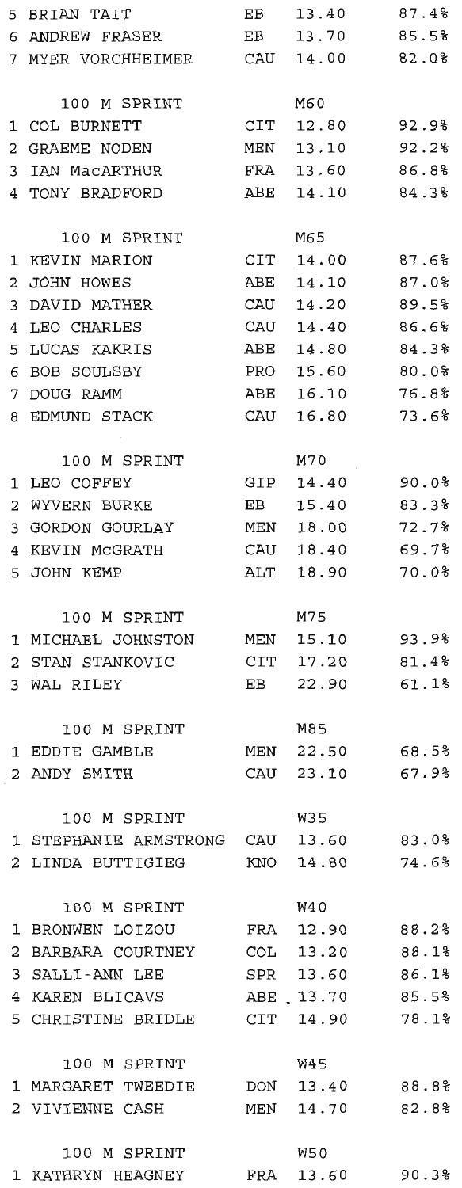| 5               | BRIAN TAIT                         | EB             | 13.40           | 87.4% |
|-----------------|------------------------------------|----------------|-----------------|-------|
|                 | 6 ANDREW FRASER                    | EB             | 13.70           | 85.5% |
|                 | 7 MYER VORCHHEIMER                 | CAU            | 14.00           | 82.0% |
|                 |                                    |                |                 |       |
|                 | 100 M SPRINT                       |                | M60             |       |
| 1               | COL BURNETT                        | $\mathtt{CIT}$ | 12.80           | 92.9% |
| 2               | GRAEME NODEN                       | MEN            | 13.10           | 92.2% |
| 3               | IAN MacARTHUR                      | FRA            | 13.60           | 86.8% |
|                 | 4 TONY BRADFORD                    | ABE            | 14.10           | 84.3% |
|                 |                                    |                |                 |       |
|                 | 100 M SPRINT                       |                | M65             |       |
| 1               | KEVIN MARION                       | CIT            | 14.00           | 87.6% |
| 2               | JOHN HOWES                         | ABE            | 14.10           | 87.0% |
| 3               | DAVID MATHER                       | CAU            | 14.20           | 89.5% |
| $4\overline{ }$ | LEO CHARLES                        | CAU            | 14.40           | 86.6% |
| 5               | LUCAS KAKRIS                       | ABE            | 14.80           | 84.3% |
| 6               | <b>BOB SOULSBY</b>                 | PRO            | 15.60           | 80.0% |
| 7               | DOUG RAMM                          | ABE            | 16.10           | 76.8% |
|                 | 8 EDMUND STACK                     | CAU            | 16.80           | 73.6% |
|                 |                                    |                |                 |       |
|                 | 100 M SPRINT                       |                | M70             |       |
| 1               | LEO COFFEY                         | GIP            | 14.40           | 90.0% |
| 2               | WYVERN BURKE                       | EB             | 15.40           | 83.3% |
| 3               | GORDON GOURLAY                     | MEN            | 18.00           | 72.7% |
|                 | 4 KEVIN MCGRATH                    | CAU            | 18.40           | 69.7% |
|                 | 5 JOHN KEMP                        | ALT            | 18.90           | 70.0% |
|                 |                                    |                |                 |       |
|                 | 100 M SPRINT                       |                | M75             |       |
|                 | 1 MICHAEL JOHNSTON                 | MEN            | 15.10           | 93.9% |
|                 | 2 STAN STANKOVIC                   | CIT            | 17.20           | 81.4% |
|                 | 3 WAL RILEY                        | EB             | 22.90           | 61.1% |
|                 |                                    |                |                 |       |
|                 | 100 M SPRINT                       |                | M85             |       |
| 1               | EDDIE GAMBLE                       | MEN            | 22.50           | 68.5% |
|                 | 2 ANDY SMITH                       |                | CAU 23.10 67.9% |       |
|                 |                                    |                |                 |       |
|                 | 100 M SPRINT                       |                | W35             |       |
|                 | 1 STEPHANIE ARMSTRONG CAU          |                | 13.60           | 83.0% |
|                 | 2 LINDA BUTTIGIEG                  | KNO            | 14.80           | 74.6% |
|                 |                                    |                |                 |       |
|                 | 100 M SPRINT                       |                | W4 0            |       |
|                 | 1 BRONWEN LOIZOU                   |                | FRA 12.90       | 88.2% |
| 2               | BARBARA COURTNEY                   | COL            | 13.20           | 88.1% |
|                 | 3 SALLI-ANN LEE                    |                | SPR 13.60       | 86.1% |
|                 | 4 KAREN BLICAVS                    |                | ABE 13.70       | 85.5% |
|                 | 5 CHRISTINE BRIDLE CIT 14.90 78.1% |                |                 |       |
|                 |                                    |                |                 |       |
|                 | 100 M SPRINT                       |                | W45             |       |
|                 | 1 MARGARET TWEEDIE DON             |                | 13.40           | 88.8% |
|                 | 2 VIVIENNE CASH                    | MEN            | 14.70           | 82.8% |
|                 |                                    |                |                 |       |
|                 | 100 M SPRINT                       |                | W50             |       |
|                 | 1 KATHRYN HEAGNEY                  |                | FRA 13.60       | 90.3% |
|                 |                                    |                |                 |       |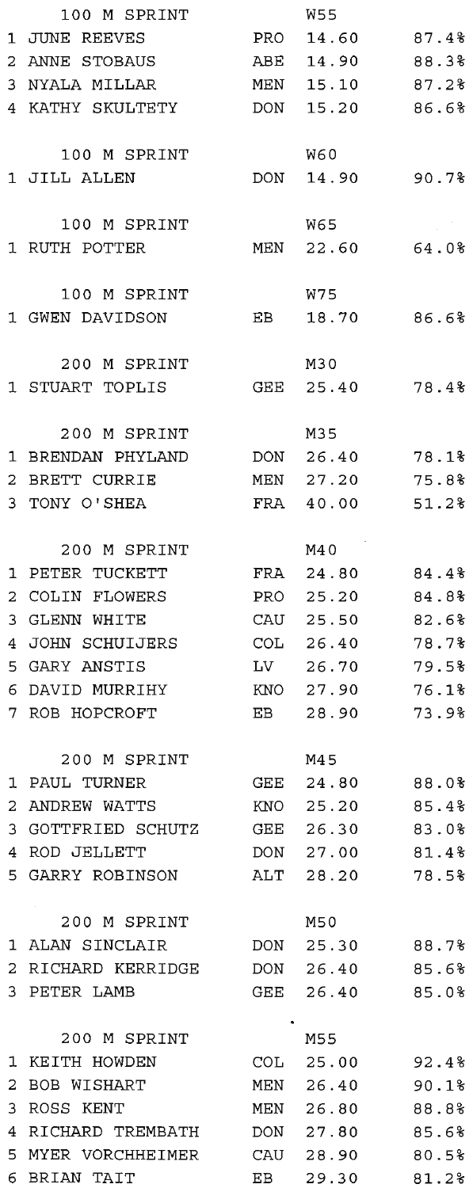|              | 100 M SPRINT       |     | W55             |          |
|--------------|--------------------|-----|-----------------|----------|
|              | 1 JUNE REEVES      |     | PRO 14.60 87.4% |          |
|              | 2 ANNE STOBAUS     |     | ABE 14.90       | 88.3%    |
|              | 3 NYALA MILLAR     | MEN | 15.10           | 87.2%    |
|              | 4 KATHY SKULTETY   |     | DON 15.20       | 86.6%    |
|              |                    |     |                 |          |
|              | 100 M SPRINT       |     | W60             |          |
|              | 1 JILL ALLEN       |     | DON 14.90       | 90.7%    |
|              |                    |     |                 |          |
|              | 100 M SPRINT       |     | W65             |          |
|              | 1 RUTH POTTER      |     | MEN 22.60 64.0% |          |
|              |                    |     |                 |          |
|              | 100 M SPRINT       |     | W75             |          |
|              | 1 GWEN DAVIDSON    | EB  | 18.70           | 86.6%    |
|              |                    |     |                 |          |
|              | 200 M SPRINT       |     | M30             |          |
|              | 1 STUART TOPLIS    |     | GEE 25.40       | 78.4%    |
|              |                    |     |                 |          |
|              | 200 M SPRINT       |     | M35             |          |
|              | 1 BRENDAN PHYLAND  |     | DON 26.40       | 78.1%    |
| 2            | BRETT CURRIE       | MEN | 27.20           | 75.8%    |
|              | 3 TONY O'SHEA      |     | FRA 40.00       | 51.2%    |
|              |                    |     |                 |          |
|              | 200 M SPRINT       |     | M40             |          |
| 1            | PETER TUCKETT      |     | FRA 24.80       | $84.4\%$ |
| 2            | COLIN FLOWERS      | PRO | 25.20           | 84.8%    |
| 3            | <b>GLENN WHITE</b> | CAU | 25.50           | 82.6%    |
| 4            | JOHN SCHUIJERS     |     | COL 26.40       | 78.7%    |
|              | 5 GARY ANSTIS      |     | LV 26.70        | 79.5%    |
|              | 6 DAVID MURRIHY    |     | KNO 27.90       | 76.1%    |
|              | 7 ROB HOPCROFT     | EB  | 28.90           | 73.9%    |
|              |                    |     |                 |          |
|              | 200 M SPRINT       |     | M45             |          |
|              | 1 PAUL TURNER      |     | GEE 24.80 88.0% |          |
| $\mathbf{z}$ | ANDREW WATTS       | KNO | 25.20           | 85.4%    |
|              | 3 GOTTFRIED SCHUTZ | GEE | 26.30           | 83.0%    |
|              | 4 ROD JELLETT      | DON | 27.00           | 81.4%    |
|              | 5 GARRY ROBINSON   |     | ALT 28.20       | 78.5%    |
|              |                    |     |                 |          |
|              | 200 M SPRINT       |     | M50             |          |
|              | 1 ALAN SINCLAIR    |     | DON 25.30       | 88.7%    |
|              | 2 RICHARD KERRIDGE | DON | 26.40           | 85.6%    |
|              | 3 PETER LAMB       | GEE | 26.40           | 85.0%    |
|              |                    |     |                 |          |
|              | 200 M SPRINT       |     | M55             |          |
|              | 1 KEITH HOWDEN     |     | COL 25.00       | 92.4%    |
| 2            | BOB WISHART        | MEN | 26.40           | 90.1%    |
| 3            | ROSS KENT          | MEN | 26.80           | 88.8%    |
| 4            | RICHARD TREMBATH   |     | DON 27.80       | 85.6%    |
|              | 5 MYER VORCHHEIMER |     | CAU 28.90       | 80.5%    |
| 6            | BRIAN TAIT         |     | EB 29.30        | 81.2%    |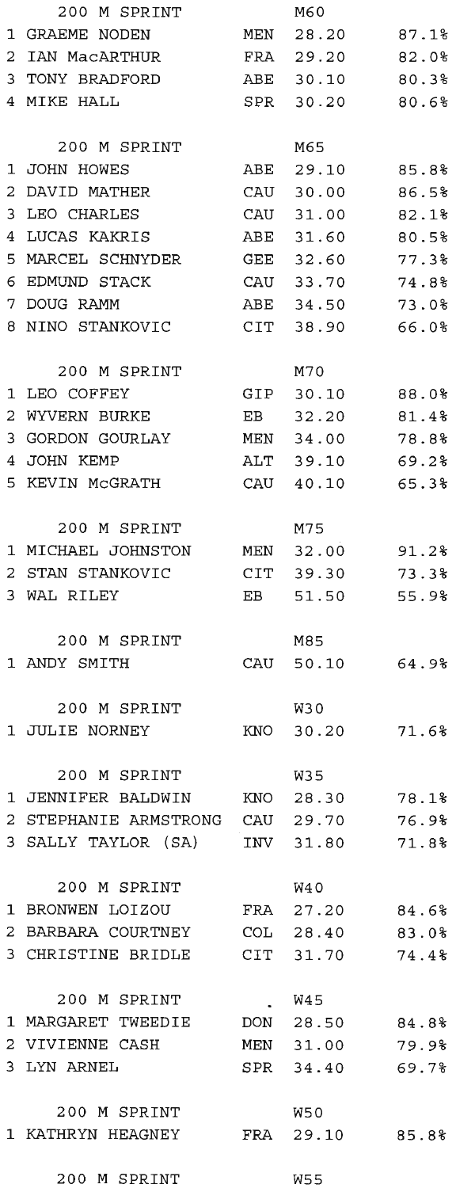|    | 200 M SPRINT                          |     | M60             |       |
|----|---------------------------------------|-----|-----------------|-------|
| 1  | GRAEME NODEN                          | MEN | 28.20           | 87.1% |
| 2  | IAN MacARTHUR                         | FRA | 29.20           | 82.0% |
| 3. | TONY BRADFORD                         |     | ABE 30.10       | 80.3% |
|    | 4 MIKE HALL                           |     | SPR 30.20       | 80.6% |
|    |                                       |     |                 |       |
|    | 200 M SPRINT                          |     | M65             |       |
| 1  | JOHN HOWES                            | ABE | 29.10           | 85.8% |
| 2  | DAVID MATHER                          | CAU | 30.00           | 86.5% |
| 3  | LEO CHARLES                           | CAU | 31.00           | 82.1% |
| 4  | LUCAS KAKRIS                          | ABE | 31.60           | 80.5% |
|    | MARCEL SCHNYDER                       |     |                 |       |
| 5  |                                       | GEE | 32.60           | 77.3% |
| 6  | EDMUND STACK                          | CAU | 33.70           | 74.8% |
|    | 7 DOUG RAMM                           | ABE | 34.50           | 73.0% |
|    | 8 NINO STANKOVIC                      | CIT | 38.90           | 66.0% |
|    | 200 M SPRINT                          |     | M70             |       |
| 1  | LEO COFFEY                            | GIP | 30.10           | 88.0% |
| 2  | WYVERN BURKE                          | EB  | 32.20           | 81.4% |
| 3  | GORDON GOURLAY                        | MEN | 34.00           | 78.8% |
| 4  | JOHN KEMP                             | АЬТ | 39.10           | 69.2% |
|    | 5 KEVIN MCGRATH                       | CAU | 40.10           | 65.3% |
|    |                                       |     |                 |       |
|    | 200 M SPRINT                          |     | M75             |       |
|    | 1 MICHAEL JOHNSTON                    | MEN | 32.00           | 91.2% |
| 2  | STAN STANKOVIC                        |     | CIT 39.30       | 73.3% |
|    | 3 WAL RILEY                           | EB  | 51.50           | 55.9% |
|    |                                       |     |                 |       |
|    | 200 M SPRINT                          |     | M85             |       |
|    | 1 ANDY SMITH                          | CAU | 50.10           | 64.9% |
|    |                                       |     |                 |       |
|    | 200 M SPRINT                          |     | W30             |       |
|    | 1 JULIE NORNEY                        | KNO | 30.20           | 71.6% |
|    |                                       |     |                 |       |
|    | 200 M SPRINT                          |     | W35             |       |
|    | 1 JENNIFER BALDWIN KNO 28.30          |     |                 | 78.1% |
|    | 2 STEPHANIE ARMSTRONG CAU 29.70 76.9% |     |                 |       |
|    | 3 SALLY TAYLOR (SA) INV 31.80 71.8%   |     |                 |       |
|    |                                       |     |                 |       |
|    | 200 M SPRINT                          |     | W4 0            |       |
|    | 1 BRONWEN LOIZOU                      |     | FRA 27.20 84.6% |       |
|    | 2 BARBARA COURTNEY COL 28.40 83.0%    |     |                 |       |
|    | 3 CHRISTINE BRIDLE CIT 31.70 74.4%    |     |                 |       |
|    |                                       |     |                 |       |
|    | 200 M SPRINT                          |     | <b>W45</b>      |       |
|    | 1 MARGARET TWEEDIE DON 28.50          |     |                 | 84.8% |
|    | 2 VIVIENNE CASH                       |     | MEN 31.00 79.9% |       |
|    | 3 LYN ARNEL                           |     | SPR 34.40 69.7% |       |
|    |                                       |     |                 |       |
|    | 200 M SPRINT                          |     | W50             |       |
|    | 1 KATHRYN HEAGNEY                     |     | FRA 29.10 85.8% |       |
|    |                                       |     |                 |       |
|    | 200 M SPRINT                          |     | <b>W55</b>      |       |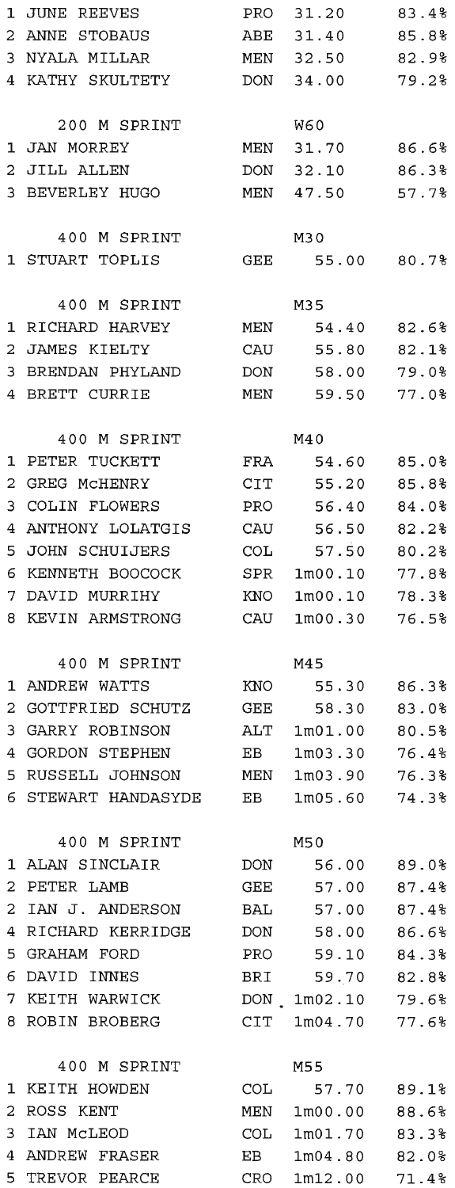| 1           | JUNE REEVES         | PRO   | 31.20                | 83.4%       |
|-------------|---------------------|-------|----------------------|-------------|
| 2           | ANNE STOBAUS        | ABE   | 31.40                | 85.8%       |
| 3           | NYALA MILLAR        |       | MEN 32.50            | 82.9%       |
| 4           | KATHY SKULTETY      | DON   | 34.00                | 79.2%       |
|             |                     |       |                      |             |
|             | 200 M SPRINT        |       | <b>W60</b>           |             |
| 1           | JAN MORREY          | MEN   | 31.70                | 86.6%       |
| 2           | JILL ALLEN          | DON   | 32.10                | 86.3%       |
| 3           | BEVERLEY HUGO       | MEN   | 47.50                | 57.7%       |
|             |                     |       |                      |             |
|             | 400 M SPRINT        |       | M30                  |             |
|             | 1 STUART TOPLIS     | GEE   |                      | 55.00 80.7% |
|             |                     |       |                      |             |
|             | 400 M SPRINT        |       | M35                  |             |
| 1           | RICHARD HARVEY      | MEN   | 54.40                | 82.6%       |
| 2           | JAMES KIELTY        | CAU   | 55.80                | 82.1%       |
| 3           | BRENDAN PHYLAND     | DON   | 58.00                | 79.0%       |
| 4           | BRETT CURRIE        | MEN   | 59.50                | 77.0%       |
|             |                     |       |                      |             |
|             | 400 M SPRINT        |       | M40                  |             |
| 1           | PETER TUCKETT       | FRA   | 54.60                | 85.0%       |
| 2           | GREG MCHENRY        | CIT   | 55.20                | 85.8%       |
| 3           | COLIN FLOWERS       | PRO.  | 56.40                | 84.0%       |
| 4           | ANTHONY LOLATGIS    | CAU   | 56.50                | 82.2%       |
| 5           | JOHN SCHUIJERS      | COL   | 57.50                | 80.2%       |
|             | KENNETH BOOCOCK     |       |                      | 77.8%       |
| 6           |                     | SPR   | 1m00.10              |             |
| 7           | DAVID MURRIHY       | KNO   | 1 <sub>m</sub> 00.10 | 78.3%       |
| 8           | KEVIN ARMSTRONG     | CAU   | 1m00.30              | 76.5%       |
|             | 400 M SPRINT        |       | M45                  |             |
| 1           | ANDREW WATTS        |       | KNO 55.30            | 86.3%       |
| 2           | GOTTFRIED SCHUTZ    | GEE   | 58.30                | 83.0%       |
| 3           | GARRY ROBINSON      | ALT   | 1m01.00              | 80.5%       |
|             | 4 GORDON STEPHEN    | EB.   | 1m03.30              |             |
|             | 5 RUSSELL JOHNSON   |       |                      | 76.4%       |
|             |                     |       | MEN 1m03.90 76.3%    |             |
|             | 6 STEWART HANDASYDE | EB    | 1m05.60              | 74.3%       |
|             | 400 M SPRINT        |       | M50                  |             |
| $\mathbf 1$ | ALAN SINCLAIR       | DON   | 56.00                | 89.0%       |
| 2           | PETER LAMB          | GEE   | 57.00                | 87.4%       |
| 2           | IAN J. ANDERSON     |       | 57.00                | 87.4%       |
|             |                     | BAL   |                      |             |
| 4           | RICHARD KERRIDGE    | DON   | 58.00                | 86.6%       |
| 5           | GRAHAM FORD         | PRO   | 59.10                | 84.3%       |
| 6           | DAVID INNES         | BRI   | 59.70                | 82.8%       |
| 7           | KEITH WARWICK       |       | DON 1m02.10          | 79.6%       |
| 8           | ROBIN BROBERG       |       | $CIT$ $1m04.70$      | 77.6%       |
|             |                     |       |                      |             |
|             | 400 M SPRINT        |       | M55                  |             |
| 1           | KEITH HOWDEN        | COL . | 57.70                | 89.1%       |
| 2           | ROSS KENT           |       | MEN 1m00.00          | 88.6%       |
| 3           | IAN MCLEOD          |       | COL 1m01.70 83.3%    |             |
| 4           | ANDREW FRASER       |       | EB 1m04.80 82.0%     |             |
|             | 5 TREVOR PEARCE     |       | CRO 1m12.00 71.4%    |             |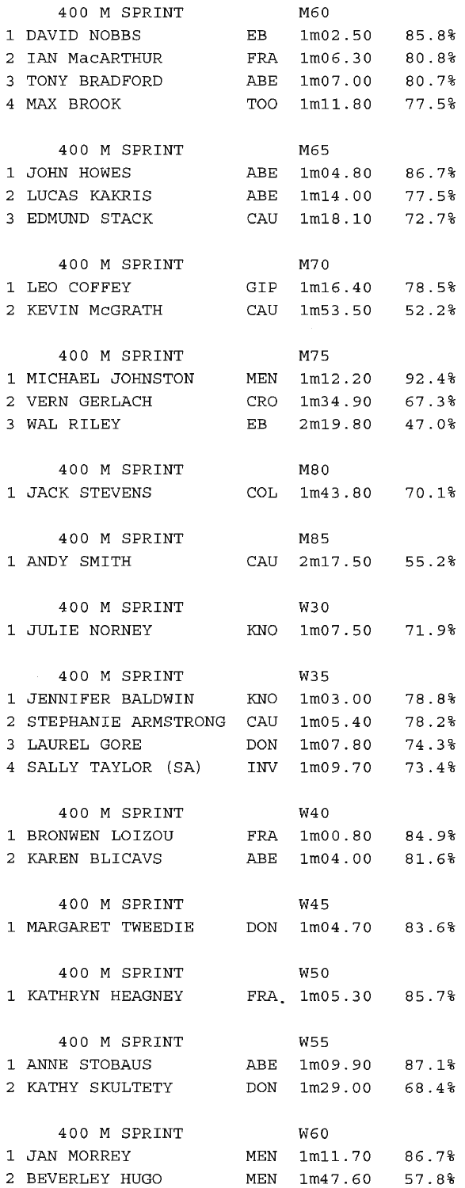| DAVID NOBBS<br>EВ<br>1m02.50<br>IAN MacARTHUR<br>FRA<br>1m06.30<br>3.<br>TONY BRADFORD<br>ABE<br>1m07.00<br>77.5%<br>4 MAX BROOK<br>TOO<br>1m11.80<br>400 M SPRINT<br>M65<br>$\mathbf{1}$<br>JOHN HOWES<br>ABE<br>86.7%<br>1 <sub>m04.80</sub><br>2<br>LUCAS KAKRIS<br>1m14.00<br>77.5%<br>ABE<br>EDMUND STACK<br>1m18.10<br>CAU<br>M70<br>400 M SPRINT<br>1 LEO COFFEY<br>GIP<br>$1m16.40$ 78.5%<br>2 KEVIN MCGRATH<br>CAU<br>1m53.50<br>52.2%<br>M75<br>400 M SPRINT<br>1 MICHAEL JOHNSTON<br>1m12.20<br>MEN<br>CRO<br>2 VERN GERLACH<br>1m34.90<br>3 WAL RILEY<br>EB<br>2m19.80<br>400 M SPRINT<br>M80<br>1 JACK STEVENS<br>COL<br>1m43.80<br>400 M SPRINT<br>M85<br>1 ANDY SMITH<br>CAU 2m17.50<br>400 M SPRINT<br>W30<br>1 JULIE NORNEY<br>KNO<br>1m07.50<br>71.9%<br>400 M SPRINT<br>W35<br>1 JENNIFER BALDWIN<br>KNO<br>1m03.00<br>78.2%<br>2<br>STEPHANIE ARMSTRONG<br>CAU<br>1m05.40<br>LAUREL GORE<br>74.3%<br>3.<br>DON<br>1m07.80<br>4 SALLY TAYLOR (SA)<br>INV<br>1m09.70<br>73.4%<br>400 M SPRINT<br>W40<br>1 BRONWEN LOIZOU<br>FRA<br>$1 \text{m00.80}$ 84.9%<br>2 KAREN BLICAVS<br>$1 \text{m04.00}$ 81.6%<br>ABE<br>400 M SPRINT<br>W45<br>1 MARGARET TWEEDIE<br>DON 1m04.70 83.6%<br>400 M SPRINT<br>W50<br>1 KATHRYN HEAGNEY<br>FRA 1m05.30 85.7%<br>400 M SPRINT<br>W55<br>1 ANNE STOBAUS<br>ABE<br>1m09.90 87.1%<br>2 KATHY SKULTETY<br>1m29.00 68.4%<br>DON<br>400 M SPRINT<br><b>W60</b><br>1 JAN MORREY<br>MEN 1m11.70 86.7%<br>2 BEVERLEY HUGO<br>MEN 1m47.60 57.8% |                | 400 M SPRINT | M60 |       |
|----------------------------------------------------------------------------------------------------------------------------------------------------------------------------------------------------------------------------------------------------------------------------------------------------------------------------------------------------------------------------------------------------------------------------------------------------------------------------------------------------------------------------------------------------------------------------------------------------------------------------------------------------------------------------------------------------------------------------------------------------------------------------------------------------------------------------------------------------------------------------------------------------------------------------------------------------------------------------------------------------------------------------------------------------------------------------------------------------------------------------------------------------------------------------------------------------------------------------------------------------------------------------------------------------------------------------------------------------------------------------------------------------------------------------------------------------------------------------------------------|----------------|--------------|-----|-------|
|                                                                                                                                                                                                                                                                                                                                                                                                                                                                                                                                                                                                                                                                                                                                                                                                                                                                                                                                                                                                                                                                                                                                                                                                                                                                                                                                                                                                                                                                                              | 1              |              |     | 85.8% |
|                                                                                                                                                                                                                                                                                                                                                                                                                                                                                                                                                                                                                                                                                                                                                                                                                                                                                                                                                                                                                                                                                                                                                                                                                                                                                                                                                                                                                                                                                              | $\overline{2}$ |              |     | 80.8% |
|                                                                                                                                                                                                                                                                                                                                                                                                                                                                                                                                                                                                                                                                                                                                                                                                                                                                                                                                                                                                                                                                                                                                                                                                                                                                                                                                                                                                                                                                                              |                |              |     | 80.7% |
|                                                                                                                                                                                                                                                                                                                                                                                                                                                                                                                                                                                                                                                                                                                                                                                                                                                                                                                                                                                                                                                                                                                                                                                                                                                                                                                                                                                                                                                                                              |                |              |     |       |
|                                                                                                                                                                                                                                                                                                                                                                                                                                                                                                                                                                                                                                                                                                                                                                                                                                                                                                                                                                                                                                                                                                                                                                                                                                                                                                                                                                                                                                                                                              |                |              |     |       |
|                                                                                                                                                                                                                                                                                                                                                                                                                                                                                                                                                                                                                                                                                                                                                                                                                                                                                                                                                                                                                                                                                                                                                                                                                                                                                                                                                                                                                                                                                              |                |              |     |       |
|                                                                                                                                                                                                                                                                                                                                                                                                                                                                                                                                                                                                                                                                                                                                                                                                                                                                                                                                                                                                                                                                                                                                                                                                                                                                                                                                                                                                                                                                                              |                |              |     |       |
|                                                                                                                                                                                                                                                                                                                                                                                                                                                                                                                                                                                                                                                                                                                                                                                                                                                                                                                                                                                                                                                                                                                                                                                                                                                                                                                                                                                                                                                                                              | 3.             |              |     | 72.7% |
|                                                                                                                                                                                                                                                                                                                                                                                                                                                                                                                                                                                                                                                                                                                                                                                                                                                                                                                                                                                                                                                                                                                                                                                                                                                                                                                                                                                                                                                                                              |                |              |     |       |
|                                                                                                                                                                                                                                                                                                                                                                                                                                                                                                                                                                                                                                                                                                                                                                                                                                                                                                                                                                                                                                                                                                                                                                                                                                                                                                                                                                                                                                                                                              |                |              |     |       |
|                                                                                                                                                                                                                                                                                                                                                                                                                                                                                                                                                                                                                                                                                                                                                                                                                                                                                                                                                                                                                                                                                                                                                                                                                                                                                                                                                                                                                                                                                              |                |              |     |       |
|                                                                                                                                                                                                                                                                                                                                                                                                                                                                                                                                                                                                                                                                                                                                                                                                                                                                                                                                                                                                                                                                                                                                                                                                                                                                                                                                                                                                                                                                                              |                |              |     |       |
|                                                                                                                                                                                                                                                                                                                                                                                                                                                                                                                                                                                                                                                                                                                                                                                                                                                                                                                                                                                                                                                                                                                                                                                                                                                                                                                                                                                                                                                                                              |                |              |     |       |
|                                                                                                                                                                                                                                                                                                                                                                                                                                                                                                                                                                                                                                                                                                                                                                                                                                                                                                                                                                                                                                                                                                                                                                                                                                                                                                                                                                                                                                                                                              |                |              |     | 92.4% |
|                                                                                                                                                                                                                                                                                                                                                                                                                                                                                                                                                                                                                                                                                                                                                                                                                                                                                                                                                                                                                                                                                                                                                                                                                                                                                                                                                                                                                                                                                              |                |              |     | 67.3% |
|                                                                                                                                                                                                                                                                                                                                                                                                                                                                                                                                                                                                                                                                                                                                                                                                                                                                                                                                                                                                                                                                                                                                                                                                                                                                                                                                                                                                                                                                                              |                |              |     | 47.0% |
|                                                                                                                                                                                                                                                                                                                                                                                                                                                                                                                                                                                                                                                                                                                                                                                                                                                                                                                                                                                                                                                                                                                                                                                                                                                                                                                                                                                                                                                                                              |                |              |     |       |
|                                                                                                                                                                                                                                                                                                                                                                                                                                                                                                                                                                                                                                                                                                                                                                                                                                                                                                                                                                                                                                                                                                                                                                                                                                                                                                                                                                                                                                                                                              |                |              |     | 70.1% |
|                                                                                                                                                                                                                                                                                                                                                                                                                                                                                                                                                                                                                                                                                                                                                                                                                                                                                                                                                                                                                                                                                                                                                                                                                                                                                                                                                                                                                                                                                              |                |              |     |       |
|                                                                                                                                                                                                                                                                                                                                                                                                                                                                                                                                                                                                                                                                                                                                                                                                                                                                                                                                                                                                                                                                                                                                                                                                                                                                                                                                                                                                                                                                                              |                |              |     | 55.2% |
|                                                                                                                                                                                                                                                                                                                                                                                                                                                                                                                                                                                                                                                                                                                                                                                                                                                                                                                                                                                                                                                                                                                                                                                                                                                                                                                                                                                                                                                                                              |                |              |     |       |
|                                                                                                                                                                                                                                                                                                                                                                                                                                                                                                                                                                                                                                                                                                                                                                                                                                                                                                                                                                                                                                                                                                                                                                                                                                                                                                                                                                                                                                                                                              |                |              |     |       |
|                                                                                                                                                                                                                                                                                                                                                                                                                                                                                                                                                                                                                                                                                                                                                                                                                                                                                                                                                                                                                                                                                                                                                                                                                                                                                                                                                                                                                                                                                              |                |              |     |       |
|                                                                                                                                                                                                                                                                                                                                                                                                                                                                                                                                                                                                                                                                                                                                                                                                                                                                                                                                                                                                                                                                                                                                                                                                                                                                                                                                                                                                                                                                                              |                |              |     |       |
|                                                                                                                                                                                                                                                                                                                                                                                                                                                                                                                                                                                                                                                                                                                                                                                                                                                                                                                                                                                                                                                                                                                                                                                                                                                                                                                                                                                                                                                                                              |                |              |     | 78.8% |
|                                                                                                                                                                                                                                                                                                                                                                                                                                                                                                                                                                                                                                                                                                                                                                                                                                                                                                                                                                                                                                                                                                                                                                                                                                                                                                                                                                                                                                                                                              |                |              |     |       |
|                                                                                                                                                                                                                                                                                                                                                                                                                                                                                                                                                                                                                                                                                                                                                                                                                                                                                                                                                                                                                                                                                                                                                                                                                                                                                                                                                                                                                                                                                              |                |              |     |       |
|                                                                                                                                                                                                                                                                                                                                                                                                                                                                                                                                                                                                                                                                                                                                                                                                                                                                                                                                                                                                                                                                                                                                                                                                                                                                                                                                                                                                                                                                                              |                |              |     |       |
|                                                                                                                                                                                                                                                                                                                                                                                                                                                                                                                                                                                                                                                                                                                                                                                                                                                                                                                                                                                                                                                                                                                                                                                                                                                                                                                                                                                                                                                                                              |                |              |     |       |
|                                                                                                                                                                                                                                                                                                                                                                                                                                                                                                                                                                                                                                                                                                                                                                                                                                                                                                                                                                                                                                                                                                                                                                                                                                                                                                                                                                                                                                                                                              |                |              |     |       |
|                                                                                                                                                                                                                                                                                                                                                                                                                                                                                                                                                                                                                                                                                                                                                                                                                                                                                                                                                                                                                                                                                                                                                                                                                                                                                                                                                                                                                                                                                              |                |              |     |       |
|                                                                                                                                                                                                                                                                                                                                                                                                                                                                                                                                                                                                                                                                                                                                                                                                                                                                                                                                                                                                                                                                                                                                                                                                                                                                                                                                                                                                                                                                                              |                |              |     |       |
|                                                                                                                                                                                                                                                                                                                                                                                                                                                                                                                                                                                                                                                                                                                                                                                                                                                                                                                                                                                                                                                                                                                                                                                                                                                                                                                                                                                                                                                                                              |                |              |     |       |
|                                                                                                                                                                                                                                                                                                                                                                                                                                                                                                                                                                                                                                                                                                                                                                                                                                                                                                                                                                                                                                                                                                                                                                                                                                                                                                                                                                                                                                                                                              |                |              |     |       |
|                                                                                                                                                                                                                                                                                                                                                                                                                                                                                                                                                                                                                                                                                                                                                                                                                                                                                                                                                                                                                                                                                                                                                                                                                                                                                                                                                                                                                                                                                              |                |              |     |       |
|                                                                                                                                                                                                                                                                                                                                                                                                                                                                                                                                                                                                                                                                                                                                                                                                                                                                                                                                                                                                                                                                                                                                                                                                                                                                                                                                                                                                                                                                                              |                |              |     |       |
|                                                                                                                                                                                                                                                                                                                                                                                                                                                                                                                                                                                                                                                                                                                                                                                                                                                                                                                                                                                                                                                                                                                                                                                                                                                                                                                                                                                                                                                                                              |                |              |     |       |
|                                                                                                                                                                                                                                                                                                                                                                                                                                                                                                                                                                                                                                                                                                                                                                                                                                                                                                                                                                                                                                                                                                                                                                                                                                                                                                                                                                                                                                                                                              |                |              |     |       |
|                                                                                                                                                                                                                                                                                                                                                                                                                                                                                                                                                                                                                                                                                                                                                                                                                                                                                                                                                                                                                                                                                                                                                                                                                                                                                                                                                                                                                                                                                              |                |              |     |       |
|                                                                                                                                                                                                                                                                                                                                                                                                                                                                                                                                                                                                                                                                                                                                                                                                                                                                                                                                                                                                                                                                                                                                                                                                                                                                                                                                                                                                                                                                                              |                |              |     |       |
|                                                                                                                                                                                                                                                                                                                                                                                                                                                                                                                                                                                                                                                                                                                                                                                                                                                                                                                                                                                                                                                                                                                                                                                                                                                                                                                                                                                                                                                                                              |                |              |     |       |
|                                                                                                                                                                                                                                                                                                                                                                                                                                                                                                                                                                                                                                                                                                                                                                                                                                                                                                                                                                                                                                                                                                                                                                                                                                                                                                                                                                                                                                                                                              |                |              |     |       |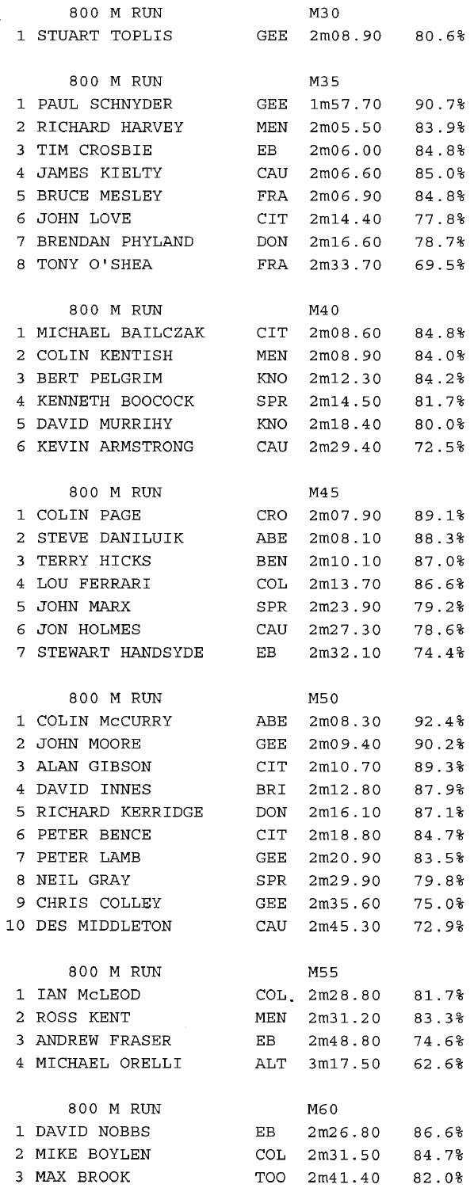|       | M RUN<br>800       |                         | M30                       |       |
|-------|--------------------|-------------------------|---------------------------|-------|
|       | 1 STUART TOPLIS    | GEE                     | 2m08.90                   | 80.6% |
|       |                    |                         |                           |       |
|       | 800 M RUN          |                         | M35                       |       |
| 1     | PAUL SCHNYDER      | GEE                     | 1m57.70                   | 90.7% |
| 2     | RICHARD HARVEY     | MEN                     | 2m05.50                   | 83.9% |
| 3     | TIM CROSBIE        | EB                      | 2m06.00                   | 84.8% |
| 4     | JAMES KIELTY       | CAU                     | 2m06.60                   | 85.0% |
| 5     | BRUCE MESLEY       |                         | 2m06.90                   |       |
|       |                    | FRA<br>CIT <sub>-</sub> |                           | 84.8% |
| 6     | JOHN LOVE          |                         | 2m14.40                   | 77.8% |
| 7     | BRENDAN PHYLAND    | DON                     | 2m16.60                   | 78.7% |
| 8     | TONY O'SHEA        | FRA                     | 2m33.70                   | 69.5% |
|       |                    |                         |                           |       |
|       | 800 M RUN          |                         | M40                       |       |
| 1     | MICHAEL BAILCZAK   | CIT                     | 2m08.60                   | 84.8% |
| 2     | COLIN KENTISH      | MEN                     | 2m08.90                   | 84.0% |
| 3     | BERT PELGRIM       | KNO                     | 2m12.30                   | 84.2% |
| 4     | KENNETH BOOCOCK    | SPR                     | 2m14.50                   | 81.7% |
| 5     | DAVID MURRIHY      | KNO                     | 2m18.40                   | 80.0% |
| 6     | KEVIN ARMSTRONG    | CAU                     | 2m29.40                   | 72.5% |
|       |                    |                         |                           |       |
|       | 800 M RUN          |                         | M45                       |       |
| 1     | COLIN PAGE         | CRO                     | 2m07.90                   | 89.1% |
| 2     | STEVE DANILUIK     | ABE                     | 2m08.10                   | 88.3% |
| 3     | TERRY HICKS        | BEN                     | 2m10.10                   | 87.0% |
| 4     | LOU FERRARI        | COL                     | 2m13.70                   | 86.6% |
| 5     | JOHN MARX          | SPR                     | 2m23.90                   | 79.2% |
| 6     | JON HOLMES         | CAU                     | 2m27.30                   | 78.6% |
| 7.    | STEWART HANDSYDE   | EВ                      | 2m32.10                   | 74.4% |
|       |                    |                         |                           |       |
|       | 800 M RUN          |                         | M50                       |       |
|       | 1 COLIN MCCURRY    | ABE                     | 2m08.30                   | 92.48 |
| $2 -$ | JOHN MOORE         | GEE                     | 2m09.40                   | 90.2% |
| 3     | ALAN GIBSON        | <b>CIT</b>              | 2m10.70                   | 89.3% |
|       | 4 DAVID INNES      | BRI                     | 2m12.80                   | 87.9% |
|       | 5 RICHARD KERRIDGE |                         | DON 2m16.10               | 87.1% |
|       | 6 PETER BENCE      |                         | $CIT$ $2m18.80$           | 84.7% |
|       | 7 PETER LAMB       |                         | GEE 2m20.90               | 83.5% |
|       | 8 NEIL GRAY        | SPR                     | 2m29.90                   | 79.8% |
|       | 9 CHRIS COLLEY     | ${\tt GEE}$             | 2m35.60                   | 75.0% |
|       | 10 DES MIDDLETON   | CAU                     | 2m45.30                   | 72.9% |
|       |                    |                         |                           |       |
|       | 800 M RUN          |                         | M55                       |       |
|       | 1 IAN McLEOD       |                         | $COL$ , $2m28.80$ $81.7%$ |       |
|       | 2 ROSS KENT        |                         |                           |       |
|       | 3 ANDREW FRASER    |                         | MEN 2m31.20               | 83.3% |
|       |                    | EB                      | 2m48.80                   | 74.6% |
|       | 4 MICHAEL ORELLI   |                         | ALT 3m17.50 62.6%         |       |
|       | 800 M RUN          |                         | M60                       |       |
|       | 1 DAVID NOBBS      | EB                      | 2m26.80 86.68             |       |
|       | 2 MIKE BOYLEN      | COL                     | 2m31.50                   | 84.7% |
|       | 3 MAX BROOK        |                         |                           |       |
|       |                    |                         | TOO 2m41.40 82.0%         |       |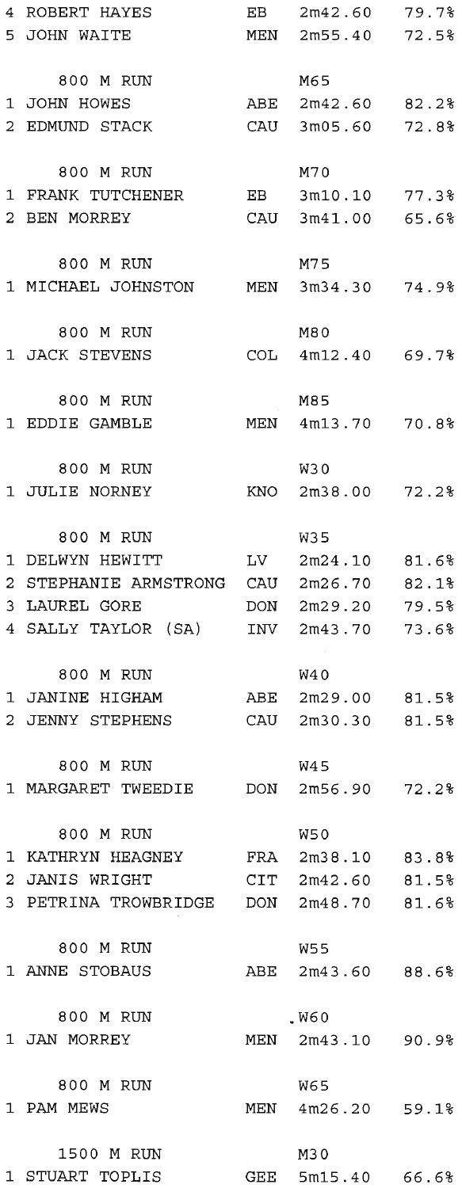| 4 ROBERT HAYES                          | EB  | 2m42.60            | 79.7% |
|-----------------------------------------|-----|--------------------|-------|
| 5 JOHN WAITE                            |     | MEN 2m55.40 72.5%  |       |
|                                         |     |                    |       |
| 800 M RUN                               |     | M65                |       |
| 1 JOHN HOWES                            |     | ABE 2m42.60 82.2%  |       |
| 2 EDMUND STACK                          | CAU |                    |       |
|                                         |     | 3m05.60            | 72.8% |
|                                         |     |                    |       |
| 800 M RUN                               |     | M70                |       |
| 1 FRANK TUTCHENER                       |     | EB 3m10.10 77.3%   |       |
| 2 BEN MORREY                            |     | CAU 3m41.00 65.6%  |       |
|                                         |     |                    |       |
| 800 M RUN                               |     | M75                |       |
| 1 MICHAEL JOHNSTON MEN                  |     | $3m34.30$ 74.9%    |       |
|                                         |     |                    |       |
| 800 M RUN                               |     | M80                |       |
| 1 JACK STEVENS                          |     | COL 4m12.40 69.7%  |       |
|                                         |     |                    |       |
| 800 M RUN                               |     | M85                |       |
| 1 EDDIE GAMBLE                          |     | MEN 4m13.70 70.8%  |       |
|                                         |     |                    |       |
| 800 M RUN                               |     | W30                |       |
| 1 JULIE NORNEY                          |     | KNO 2m38.00 72.2%  |       |
|                                         |     |                    |       |
|                                         |     |                    |       |
| 800 M RUN                               |     | <b>W35</b>         |       |
| 1 DELWYN HEWITT                         |     | $LV$ 2m24.10 81.6% |       |
| 2 STEPHANIE ARMSTRONG CAU 2m26.70 82.1% |     |                    |       |
| 3 LAUREL GORE                           |     | DON 2m29.20 79.5%  |       |
| 4 SALLY TAYLOR (SA)                     | INV | 2m43.70            | 73.6% |
|                                         |     |                    |       |
| 800 M RUN                               |     | W4 0               |       |
| 1 JANINE HIGHAM                         |     | ABE 2m29.00 81.5%  |       |
| 2 JENNY STEPHENS                        |     | CAU 2m30.30 81.5%  |       |
|                                         |     |                    |       |
| 800 M RUN                               |     | <b>W45</b>         |       |
| 1 MARGARET TWEEDIE DON                  |     | 2m56.90 72.2%      |       |
|                                         |     |                    |       |
| 800 M RUN                               |     | W50                |       |
| 1 KATHRYN HEAGNEY FRA 2m38.10 83.8%     |     |                    |       |
| 2 JANIS WRIGHT                          |     | $CIT$ 2m42.60      | 81.5% |
| 3 PETRINA TROWBRIDGE DON 2m48.70 81.6%  |     |                    |       |
|                                         |     |                    |       |
|                                         |     |                    |       |
| 800 M RUN                               |     | W55                |       |
| 1 ANNE STOBAUS                          |     | ABE 2m43.60 88.6%  |       |
|                                         |     |                    |       |
| 800 M RUN                               |     | .W60               |       |
| 1 JAN MORREY                            |     | MEN 2m43.10 90.9%  |       |
|                                         |     |                    |       |
| 800 M RUN                               |     | W65                |       |
| 1 PAM MEWS                              |     | MEN 4m26.20 59.1%  |       |
|                                         |     |                    |       |
| 1500 M RUN                              |     | M30                |       |
| 1 STUART TOPLIS                         |     | GEE 5m15.40 66.6%  |       |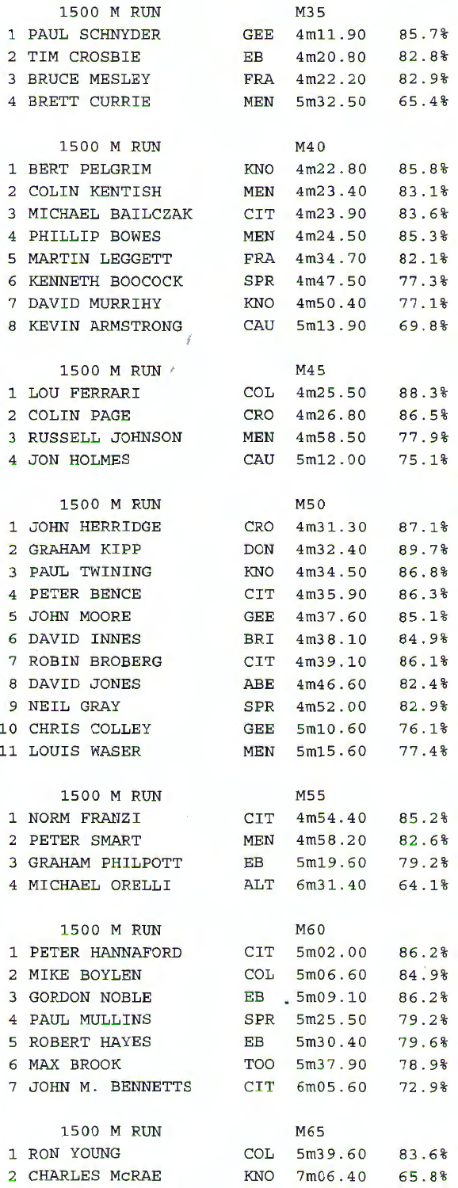|                | 1500 M RUN            |                | M35               |       |
|----------------|-----------------------|----------------|-------------------|-------|
| 1              | PAUL SCHNYDER         | <b>GEE</b>     | 4m11.90           | 85.7% |
| 2              | TIM CROSBIE           | EB             | 4m20.80           | 82.8% |
| 3              | BRUCE MESLEY          | FRA            | 4m22.20           | 82.9% |
| 4              | <b>BRETT CURRIE</b>   | MEN            | 5m32.50           | 65.4% |
|                |                       |                |                   |       |
|                | 1500 M RUN            |                | M40               |       |
| 1              | BERT PELGRIM          | KNO            | 4m22.80           | 85.8% |
| 2              | <b>COLIN KENTISH</b>  | MEN            | 4m23.40           | 83.1% |
| 3              | MICHAEL BAILCZAK      | <b>CIT</b>     | 4m23.90           | 83.6% |
| 4              | PHILLIP BOWES         | MEN            | 4m24.50           | 85.3% |
| 5              | <b>MARTIN LEGGETT</b> | <b>FRA</b>     | 4m34.70           | 82.1% |
| 6              | KENNETH BOOCOCK       | SPR            | 4m47.50           | 77.3% |
| 7              | DAVID MURRIHY         | KNO            | 4m50.40           | 77.1% |
| 8              | KEVIN ARMSTRONG       | CAU            | 5m13.90           | 69.8% |
|                | š                     |                |                   |       |
|                | 1500 M RUN /          |                | M45               |       |
| 1              | LOU FERRARI           | <b>COL</b>     | 4m25.50           | 88.3% |
| 2              | <b>COLIN PAGE</b>     | CRO            | 4m26.80           | 86.5% |
| 3              | RUSSELL JOHNSON       | MEN            | 4m58.50           | 77.9% |
|                | 4 JON HOLMES          | CAU            | 5m12.00           | 75.1% |
|                |                       |                |                   |       |
|                | 1500 M RUN            |                | M50               |       |
| 1              | <b>JOHN HERRIDGE</b>  | CRO            | 4m31.30           | 87.1% |
| $\overline{2}$ | <b>GRAHAM KIPP</b>    | <b>DON</b>     | 4m32.40           | 89.7% |
| 3              | PAUL TWINING          | KNO            | 4m34.50           | 86.8% |
| 4              | PETER BENCE           | CIT            | 4m35.90           | 86.3% |
| 5              | JOHN MOORE            | GEE            | 4m37.60           | 85.1% |
| 6              | DAVID INNES           | BRI            | 4m38.10           | 84.9% |
| 7              | ROBIN BROBERG         | CIT            | 4m39.10           | 86.1% |
| 8              | DAVID JONES           | ABE            | 4m46.60           | 82.4% |
| 9              | <b>NEIL GRAY</b>      | SPR            | 4m52.00           | 82.9% |
| 10             | CHRIS COLLEY          | GEE            | 5m10.60           | 76.1% |
| 11             | <b>LOUIS WASER</b>    | MEN            | 5m15.60           | 77.48 |
|                |                       |                |                   |       |
|                | 1500 M RUN            |                | M55               |       |
|                | 1 NORM FRANZI         | $\mathtt{CIT}$ | 4m54.40           | 85.2% |
|                | 2 PETER SMART         | <b>MEN</b>     | 4m58.20           | 82.6% |
|                | 3 GRAHAM PHILPOTT     | EB             | 5m19.60           | 79.2% |
|                | 4 MICHAEL ORELLI      |                | ALT 6m31.40       | 64.1% |
|                |                       |                |                   |       |
|                | 1500 M RUN            |                | M60               |       |
|                | 1 PETER HANNAFORD     |                | $CIT$ 5m02.00     | 86.2% |
|                | 2 MIKE BOYLEN         |                | $COL$ 5m06.60     | 84.9% |
|                | 3 GORDON NOBLE        |                | EB 5m09.10        | 86.2% |
|                | 4 PAUL MULLINS        | SPR            | 5m25.50           | 79.2% |
|                | 5 ROBERT HAYES        | EB             | 5m30.40           | 79.6% |
|                | 6 MAX BROOK           |                | TOO 5m37.90       | 78.9% |
|                | 7 JOHN M. BENNETTS    |                | $CIT$ 6m05.60     | 72.9% |
|                |                       |                |                   |       |
|                | 1500 M RUN            |                | M65               |       |
|                | 1 RON YOUNG           |                | $COL$ $5m39.60$   | 83.6% |
|                | 2 CHARLES MCRAE       |                | KNO 7m06.40 65.8% |       |

|                | M35                     |                |
|----------------|-------------------------|----------------|
| ${\tt GEE}$    | 4m11.90                 | 85.7%          |
| EB             | 4m20.80                 | 82.8%          |
| FRA            | 4m22.20                 | 82.9%          |
| MEN            | 5m32.50                 | 65.4%          |
|                |                         |                |
|                | M40                     |                |
| KNO            | 4m22.80                 | 85.8%          |
| MEN            | 4m23.40                 | 83.1%          |
| CIT            | 4m23.90                 | 83.6%          |
| MEN            | 4m24.50                 | 85.3%          |
| $_{\rm FRA}$   | 4m34.70                 | 82.1%          |
| SPR            | 4m47.50                 | 77.3%          |
| KNO            | 4m50.40                 | 77.1%          |
| CAU            | 5m13.90                 | 69.8%          |
|                | M45                     |                |
| COL            | 4m25.50                 | 88.3%          |
| CRO            | 4m26.80                 | 86.5%          |
| MEN            | 4m58.50                 | 77.9%          |
| CAU            | 5m12.00                 | 75.1%          |
|                | M50                     |                |
|                | 4m31.30                 | 87.1%          |
| CRO            |                         |                |
| DON            | 4m32.40                 | 89.7%          |
| KNO            | 4m34.50                 | 86.8%          |
| $\mathtt{CIT}$ | 4m35.90                 | 86.3%<br>85.1% |
| GEE            | 4m37.60                 |                |
| BRI<br>CIT     | 4m38.10                 | 84.9%          |
|                | 4m39.10<br>4m46.60      | 86.1%          |
| ABE            |                         | 82.4%          |
| SPR            | 4m52.00                 | 82.9%          |
| ${\tt GEE}$    | 5m10.60                 | 76.1%          |
| MEN            | 5m15.60                 | 77.4%          |
|                | M55                     |                |
|                | $CIT$ $4m54.40$ $85.2%$ |                |
|                | MEN 4m58.20 82.6%       |                |
| EB             | 5m19.60                 | 79.2%          |
| ALT            | 6m31.40                 | 64.1%          |
|                | M60                     |                |
|                | CIT 5m02.00 86.2%       |                |
| COL            | 5m06.60                 | 84.9%          |
| EB             | 5m09.10                 | 86.2%          |
| ${\tt SPR}$    | 5m25.50                 | 79.2%          |
| EB             | 5m30.40                 | 79.6%          |
|                | TOO 5m37.90             | 78.9%          |
|                | $CTT$ 6m05.60           | 72.9%          |
|                | M65                     |                |
| COL            | 5m39.60                 | 83.6%          |
|                | KNO 7m06.40             | 65.8%          |
|                |                         |                |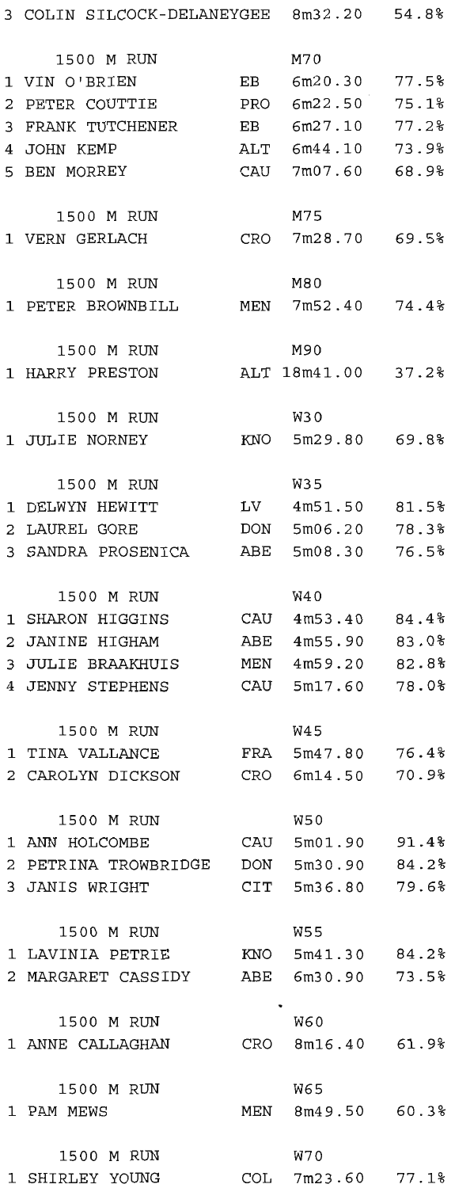| 3 COLIN SILCOCK-DELANEYGEE 8m32.20 54.8% |     |                    |            |
|------------------------------------------|-----|--------------------|------------|
| 1500 M RUN                               |     | M70                |            |
| 1 VIN O'BRIEN                            |     | EB 6m20.30 77.5%   |            |
| 2 PETER COUTTIE                          |     | PRO 6m22.50 75.1%  |            |
| 3 FRANK TUTCHENER                        |     | EB 6m27.10         | $77.2$ $%$ |
| 4 JOHN KEMP                              |     | ALT 6m44.10        | 73.9%      |
|                                          |     |                    |            |
| 5 BEN MORREY                             | CAU | 7m07.60            | 68.9%      |
| 1500 M RUN                               |     | M75                |            |
| 1 VERN GERLACH                           |     | CRO 7m28.70 69.5%  |            |
|                                          |     |                    |            |
| 1500 M RUN                               |     | M80                |            |
| 1 PETER BROWNBILL MEN 7m52.40 74.4%      |     |                    |            |
| 1500 M RUN                               |     | M90                |            |
| 1 HARRY PRESTON                          |     | ALT 18m41.00 37.2% |            |
|                                          |     |                    |            |
| 1500 M RUN                               |     | W30                |            |
| 1 JULIE NORNEY                           |     | KNO 5m29.80 69.8%  |            |
| 1500 M RUN                               |     | W35                |            |
| 1 DELWYN HEWITT                          |     | LV 4m51.50 81.5%   |            |
| 2 LAUREL GORE                            | DON | 5m06.20            | 78.3%      |
| 3 SANDRA PROSENICA                       | ABE | 5m08.30 76.5%      |            |
|                                          |     |                    |            |
| 1500 M RUN                               |     | W40                |            |
| 1 SHARON HIGGINS                         |     | CAU 4m53.40 84.4%  |            |
| 2 JANINE HIGHAM                          | ABE | 4m55.90            | 83.0%      |
| 3 JULIE BRAAKHUIS                        |     | MEN 4m59.20        | 82.8%      |
| 4 JENNY STEPHENS                         | CAU | 5m17.60 78.0%      |            |
|                                          |     |                    |            |
| 1500 M RUN                               |     | W45                |            |
| 1 TINA VALLANCE                          |     | FRA 5m47.80 76.4%  |            |
| 2 CAROLYN DICKSON                        | CRO | 6m14.50            | 70.9%      |
| 1500 M RUN                               |     | W50                |            |
|                                          |     |                    |            |
| 2 PETRINA TROWBRIDGE DON 5m30.90 84.2%   |     |                    |            |
| 3 JANIS WRIGHT                           |     | CIT 5m36.80 79.6%  |            |
|                                          |     |                    |            |
| 1500 M RUN                               |     | W55                |            |
| 1 LAVINIA PETRIE KNO 5m41.30 84.2%       |     |                    |            |
| 2 MARGARET CASSIDY ABE 6m30.90 73.5%     |     |                    |            |
| 1500 M RUN                               |     | $\bullet$<br>W60   |            |
| 1 ANNE CALLAGHAN CRO 8m16.40 61.9%       |     |                    |            |
|                                          |     |                    |            |
| 1500 M RUN                               |     | W65                |            |
| 1 PAM MEWS                               |     | MEN 8m49.50 60.3%  |            |
|                                          |     |                    |            |
| 1500 M RUN                               |     | W70                |            |
| 1 SHIRLEY YOUNG                          |     | COL 7m23.60 77.1%  |            |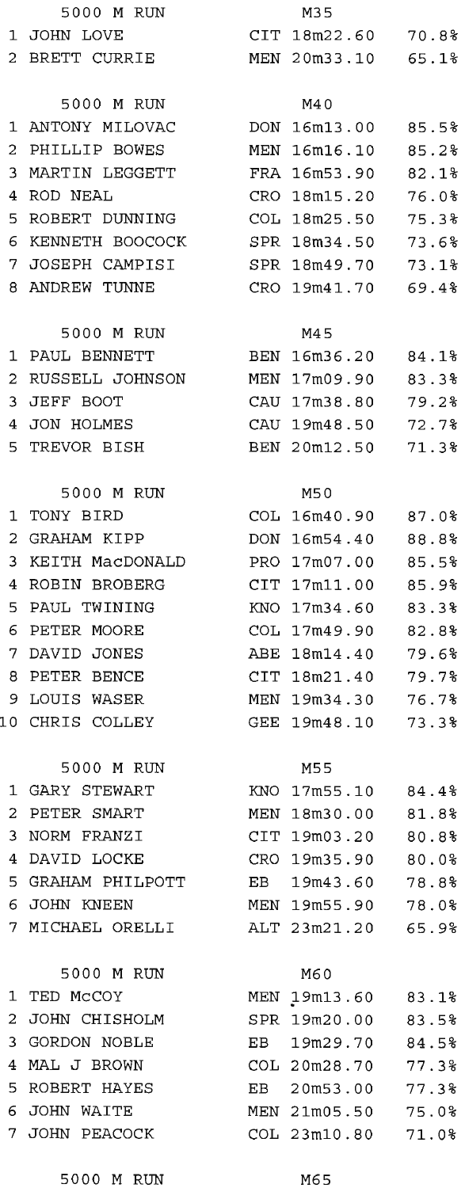5000 M RUN M65

7 MICHAEL ORELLI ALT 23m21.20 65.9% 5000 M RUN M60 1 TED McCOY MEN 19m13.60 83.1% 2 JOHN CHISHOLM SPR 19m20.00 83.5% 3 GORDON NOBLE EB 19m29.70 84.5% 4 MAL J BROWN COL 20m28.70 77.3% 5 ROBERT HAYES EB 20m53.00 77.3% 6 JOHN WAITE MEN 21m05.50 75.0% 7 JOHN PEACOCK COL 23m10.80 71.0%

5000 M RUN M45

5000 M RUN M40

5000 M RUN M35 1 JOHN LOVE CIT 18m22.60 70.8% 2 BRETT CURRIE MEN 20m33.10 65.1% 1 ANTONY MILOVAC DON 16m13.00 85.5% 2 PHILLIP BOWES MEN 16m16.10 85.2% 3 MARTIN LEGGETT FRA 16m53.90 82.1% 4 ROD NEAL CRO 18ml5.20 76.0% 5 ROBERT DUNNING COL 18m25.50 75.3% 6 KENNETH BOOCOCK SPR 18m34.50 73.6% 7 JOSEPH CAMPISI SPR 18m49.70 73.1% 8 ANDREW TUNNE CRO 19m41.70 69.4% 1 PAUL BENNETT BEN 16m36.20 84.1% 2 RUSSELL JOHNSON MEN 17m09.90 83.3% 3 JEFF BOOT CAU 17m38.80 79.2% 4 JON HOLMES CAU 19m48.50 72.7% 5 TREVOR BISH BEN 20m12.50 71. 3% 5000 M RUN M50 1 TONY BIRD COL 16m40.90 87.0% 2 GRAHAM KIPP DON 16m54.40 88.8% 3 KEITH MacDONALD PRO 17m07.00 85 . 5% 4 ROBIN BROBERG CIT 17mll. 00 85.9% 5 PAUL TWINING KNO 17m34.60 83.3% 6 PETER MOORE COL 17m49.90 82.8% 7 DAVID JONES ABE 18ml4.40 79.6% 8 PETER BENCE CIT 18m21. 40 79.7% 9 LOUIS WASER MEN 19m34.30 76.7% 10 CHRIS COLLEY GEE 19m48.10 73.3% 5000 M RUN M55 1 GARY STEWART KNO 17m55.10 84.4% 2 PETER SMART MEN 18m30.00 81.8% 3 NORM FRANZI CIT 19m03.20 80.8% 4 DAVID LOCKE CRO 19m35.90 80.0% 5 GRAHAM PHILPOTT EB 19m43.60 78.8% 6 JOHN KNEEN MEN 19m55.90 78. 0%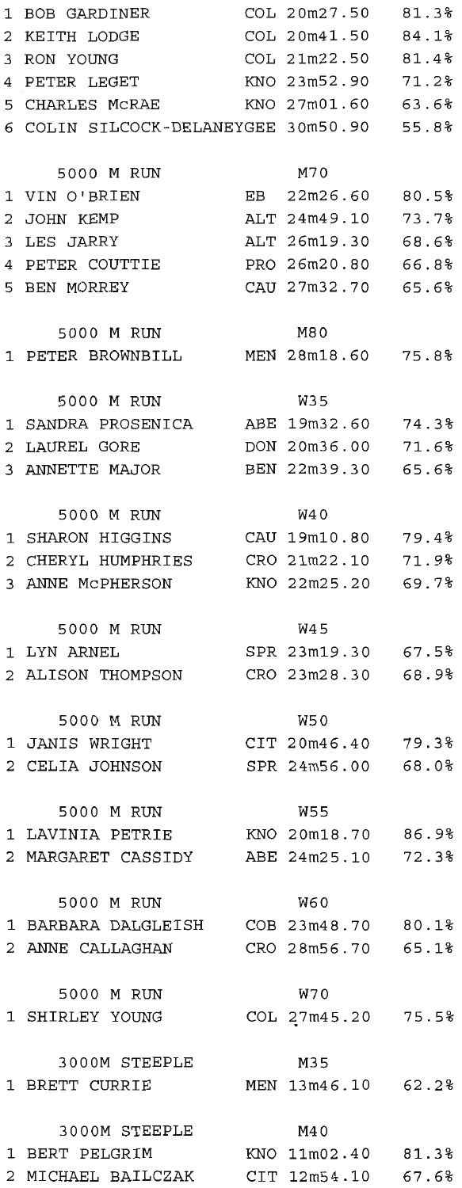| 1 | <b>BOB GARDINER</b>                   | COL 20m27.50       | 81.3% |
|---|---------------------------------------|--------------------|-------|
| 2 | KEITH LODGE                           | COL 20m41.50       | 84.1% |
| 3 | RON YOUNG                             | COL 21m22.50       | 81.4% |
| 4 | PETER LEGET                           | KNO 23m52.90       | 71.2% |
|   | 5 CHARLES MCRAE                       | KNO 27m01.60 63.6% |       |
|   | 6 COLIN SILCOCK-DELANEYGEE 30m50.90   |                    | 55.8% |
|   |                                       |                    |       |
|   | 5000 M RUN                            | M70                |       |
|   | 1 VIN O'BRIEN                         | EB 22m26.60        | 80.5% |
| 2 | JOHN KEMP                             | ALT 24m49.10       | 73.7% |
|   | 3 LES JARRY                           | ALT 26m19.30       | 68.6% |
|   | 4 PETER COUTTIE                       | PRO 26m20.80       | 66.8% |
|   | 5 BEN MORREY                          | CAU 27m32.70       | 65.6% |
|   |                                       |                    |       |
|   | 5000 M RUN                            | M80                |       |
|   |                                       |                    |       |
|   |                                       |                    |       |
|   | 5000 M RUN                            | W35                |       |
|   | 1 SANDRA PROSENICA                    | ABE 19m32.60       | 74.38 |
|   | 2 LAUREL GORE                         | DON 20m36.00       | 71.6% |
|   | 3 ANNETTE MAJOR                       | BEN 22m39.30       | 65.6% |
|   |                                       |                    |       |
|   | 5000 M RUN                            | W4 0               |       |
|   | 1 SHARON HIGGINS                      | CAU 19m10.80       | 79.4% |
|   | 2 CHERYL HUMPHRIES                    | CRO 21m22.10       | 71.9% |
|   | 3 ANNE MCPHERSON                      | KNO 22m25.20 69.7% |       |
|   |                                       |                    |       |
|   | 5000 M RUN                            | W45                |       |
|   | 1 LYN ARNEL                           | SPR 23m19.30 67.5% |       |
|   | 2 ALISON THOMPSON                     | CRO 23m28.30       | 68.9% |
|   |                                       |                    |       |
|   | 5000 M RUN                            | W50                |       |
|   | 1 JANIS WRIGHT                        | CIT 20m46.40 79.3% |       |
|   | 2 CELIA JOHNSON                       | SPR 24m56.00 68.0% |       |
|   |                                       |                    |       |
|   | 5000 M RUN                            | W55                |       |
|   | 1 LAVINIA PETRIE KNO 20m18.70 86.9%   |                    |       |
|   | 2 MARGARET CASSIDY ABE 24m25.10 72.3% |                    |       |
|   |                                       |                    |       |
|   | 5000 M RUN                            | W60                |       |
|   |                                       |                    |       |
|   | 2 ANNE CALLAGHAN CRO 28m56.70 65.1%   |                    |       |
|   |                                       |                    |       |
|   | 5000 M RUN                            | W70                |       |
|   | 1 SHIRLEY YOUNG                       | COL 27m45.20 75.5% |       |
|   |                                       |                    |       |
|   | 3000M STEEPLE                         | M35                |       |
|   | 1 BRETT CURRIE                        | MEN 13m46.10 62.2% |       |
|   |                                       |                    |       |
|   | 3000M STEEPLE                         | M40                |       |
|   | 1 BERT PELGRIM                        | KNO 11m02.40 81.3% |       |
|   | 2 MICHAEL BAILCZAK                    | CIT 12m54.10 67.6% |       |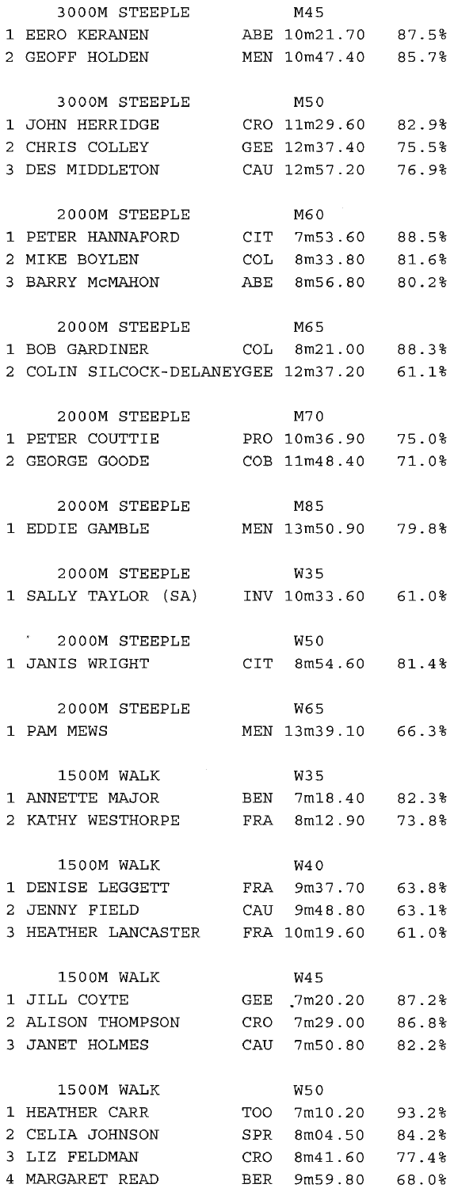| 3000M STEEPLE                             |     | M45                 |       |
|-------------------------------------------|-----|---------------------|-------|
| 1 EERO KERANEN                            |     | ABE 10m21.70 87.5%  |       |
| 2 GEOFF HOLDEN                            |     | MEN 10m47.40 85.7%  |       |
|                                           |     |                     |       |
| 3000M STEEPLE                             |     | M50                 |       |
| 1 JOHN HERRIDGE                           |     | CRO 11m29.60 82.9%  |       |
| 2 CHRIS COLLEY                            |     | GEE 12m37.40        | 75.5% |
| 3 DES MIDDLETON                           |     | CAU 12m57.20        | 76.9% |
|                                           |     |                     |       |
| 2000M STEEPLE                             |     | M60 O               |       |
| 1 PETER HANNAFORD                         |     | CIT 7m53.60 88.5%   |       |
| 2 MIKE BOYLEN                             |     | COL 8m33.80         | 81.6% |
| 3 BARRY MCMAHON                           |     | ABE 8m56.80 80.2%   |       |
|                                           |     |                     |       |
| 2000M STEEPLE                             |     | M65                 |       |
| 1 BOB GARDINER                            |     | COL 8m21.00 88.3%   |       |
| 2 COLIN SILCOCK-DELANEYGEE 12m37.20 61.1% |     |                     |       |
|                                           |     |                     |       |
| 2000M STEEPLE                             |     | M70                 |       |
| 1 PETER COUTTIE                           |     | PRO 10m36.90 75.0%  |       |
| 2 GEORGE GOODE                            |     | COB 11m48.40 71.0%  |       |
|                                           |     |                     |       |
| 2000M STEEPLE                             |     | M85                 |       |
| 1 EDDIE GAMBLE                            |     | MEN 13m50.90 79.8%  |       |
|                                           |     |                     |       |
| 2000M STEEPLE                             |     | W35                 |       |
| 1 SALLY TAYLOR (SA) INV 10m33.60 61.0%    |     |                     |       |
|                                           |     |                     |       |
| 2000M STEEPLE                             |     | W50                 |       |
| 1 JANIS WRIGHT                            |     | $CIT$ 8m54.60 81.4% |       |
|                                           |     |                     |       |
| 2000M STEEPLE                             |     | W65                 |       |
| 1 PAM MEWS                                |     | MEN 13m39.10 66.3%  |       |
|                                           |     |                     |       |
| 1500M WALK                                |     | W35                 |       |
| 1 ANNETTE MAJOR                           |     | BEN 7m18.40 82.3%   |       |
| 2 KATHY WESTHORPE                         |     | FRA 8m12.90 73.8%   |       |
|                                           |     |                     |       |
| 1500M WALK                                |     | <b>W40</b>          |       |
| 1 DENISE LEGGETT                          |     | FRA 9m37.70 63.8%   |       |
| 2 JENNY FIELD                             |     | CAU 9m48.80         |       |
|                                           |     |                     | 63.1% |
| 3 HEATHER LANCASTER                       |     | FRA 10m19.60 61.0%  |       |
| 1500M WALK                                |     | W4 5                |       |
| 1 JILL COYTE                              |     | $2m20.20$ 87.2%     |       |
|                                           | GEE |                     |       |
| 2 ALISON THOMPSON                         |     | CRO 7m29.00         | 86.8% |
| 3 JANET HOLMES                            |     | CAU 7m50.80 82.2%   |       |
|                                           |     |                     |       |
| 1500M WALK                                |     | W50                 |       |
| 1 HEATHER CARR                            | TOO | 7m10.20             | 93.2% |
| 2 CELIA JOHNSON                           | SPR | 8m04.50             | 84.2% |
| 3 LIZ FELDMAN                             | CRO | 8m41.60             | 77.4% |
| 4 MARGARET READ                           | BER | 9m59.80             | 68.0% |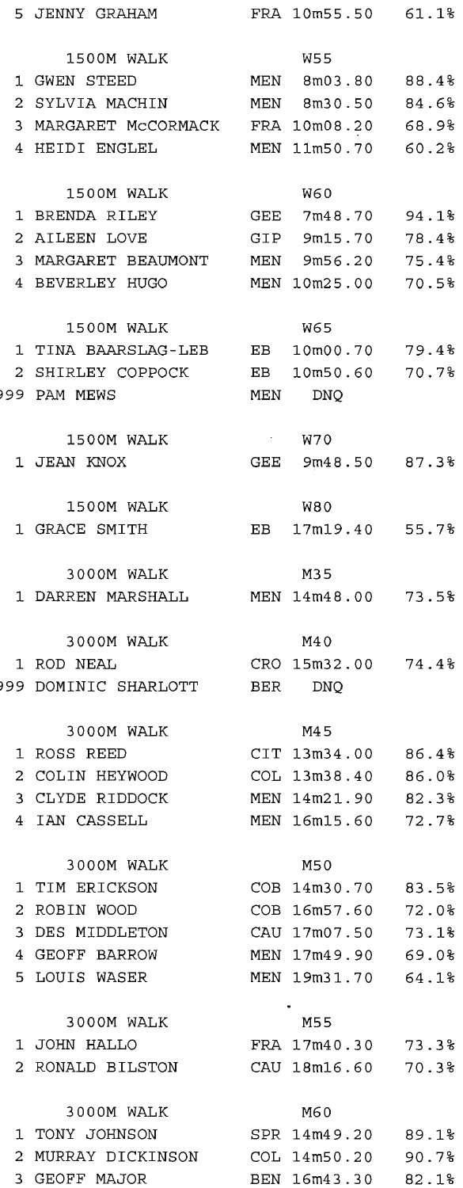|    | 5 JENNY GRAHAM                          | FRA 10m55.50 61.1% |       |
|----|-----------------------------------------|--------------------|-------|
|    | 1500M WALK                              | W55                |       |
|    | 1 GWEN STEED                            | MEN 8m03.80 88.4%  |       |
|    | 2 SYLVIA MACHIN MEN 8m30.50 84.6%       |                    |       |
|    | 3 MARGARET MCCORMACK FRA 10m08.20 68.9% |                    |       |
|    |                                         |                    |       |
|    | 4 HEIDI ENGLEL                          | MEN 11m50.70 60.2% |       |
|    | 1500M WALK                              | <b>W60</b>         |       |
|    | 1 BRENDA RILEY                          | GEE 7m48.70        | 94.1% |
|    | 2 AILEEN LOVE                           | GIP 9m15.70        | 78.4% |
|    | 3 MARGARET BEAUMONT MEN 9m56.20         |                    | 75.4% |
|    | 4 BEVERLEY HUGO                         | MEN 10m25.00 70.5% |       |
|    | 1500M WALK                              | <b>W65</b>         |       |
|    | 1 TINA BAARSLAG-LEB EB 10m00.70 79.4%   |                    |       |
|    | 2 SHIRLEY COPPOCK                       | EB 10m50.60 70.7%  |       |
|    | 999 PAM MEWS                            |                    |       |
|    |                                         | MEN DNQ            |       |
|    | 1500M WALK                              | <b>W70</b>         |       |
|    | 1 JEAN KNOX                             | GEE 9m48.50 87.3%  |       |
|    |                                         | W80                |       |
|    | 1500M WALK<br>1 GRACE SMITH             | EB 17m19.40 55.7%  |       |
|    | 3000M WALK                              | M35                |       |
|    | 1 DARREN MARSHALL MEN 14m48.00 73.5%    |                    |       |
|    |                                         |                    |       |
|    | 3000M WALK                              | M4 0               |       |
|    | 1 ROD NEAL                              | CRO 15m32.00 74.4% |       |
|    | 99 DOMINIC SHARLOTT BER DNQ             |                    |       |
|    | 3000M WALK                              | M45                |       |
|    | 1 ROSS REED                             | CIT 13m34.00 86.4% |       |
|    | 2 COLIN HEYWOOD                         | COL 13m38.40       | 86.0% |
|    | 3 CLYDE RIDDOCK                         | MEN 14m21.90       | 82.3% |
|    | 4 IAN CASSELL                           | MEN 16m15.60       | 72.7% |
|    |                                         |                    |       |
|    | 3000M WALK                              | M50                |       |
| 1  | TIM ERICKSON                            | COB 14m30.70       | 83.5% |
| 2  | ROBIN WOOD                              | COB 16m57.60       | 72.0% |
| 3  | DES MIDDLETON                           | CAU 17m07.50       | 73.1% |
|    | 4 GEOFF BARROW                          | MEN 17m49.90       | 69.0% |
|    | 5 LOUIS WASER                           | MEN 19m31.70       | 64.1% |
|    | 3000M WALK                              | M55                |       |
|    | 1 JOHN HALLO                            | FRA 17m40.30       | 73.3% |
|    | 2 RONALD BILSTON                        | CAU 18m16.60       | 70.3% |
|    | 3000M WALK                              | M60                |       |
|    | 1 TONY JOHNSON                          | SPR 14m49.20       | 89.1% |
| 2. | MURRAY DICKINSON                        | COL 14m50.20       | 90.7% |
|    | 3 GEOFF MAJOR                           | BEN 16m43.30 82.1% |       |
|    |                                         |                    |       |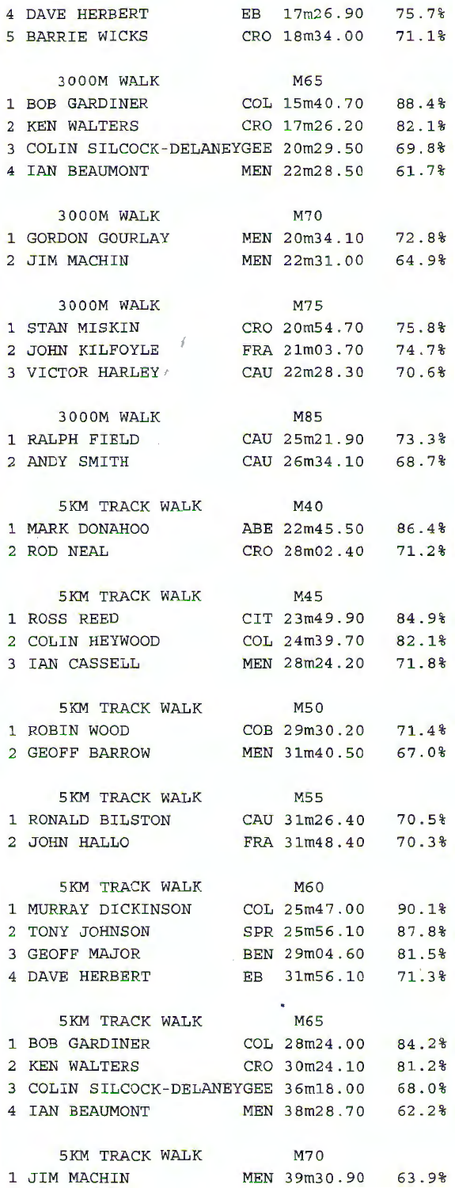| 5 BARRIE WICKS                                          | CRO 18m34.00 71.1% |       |
|---------------------------------------------------------|--------------------|-------|
| 3000M WALK                                              | M65                |       |
| 1 BOB GARDINER                                          | COL 15m40.70 88.4% |       |
| 2 KEN WALTERS                                           | CRO 17m26.20 82.1% |       |
| 3 COLIN SILCOCK-DELANEYGEE 20m29.50 69.8%               |                    |       |
|                                                         |                    |       |
| 4 IAN BEAUMONT                                          | MEN 22m28.50 61.7% |       |
| 3000M WALK                                              | M70                |       |
| 1 GORDON GOURLAY MEN 20m34.10 72.8%                     |                    |       |
| 2 JIM MACHIN                                            | MEN 22m31.00 64.9% |       |
|                                                         |                    |       |
| 3000M WALK                                              | M75                |       |
| 1 STAN MISKIN                                           | CRO 20m54.70 75.8% |       |
| 2 JOHN KILFOYLE                                         | FRA 21m03.70 74.7% |       |
| 3 VICTOR HARLEY /                                       | CAU 22m28.30 70.6% |       |
| 3000M WALK                                              | M85                |       |
| 1 RALPH FIELD.                                          | CAU 25m21.90 73.3% |       |
| 2 ANDY SMITH                                            | CAU 26m34.10 68.7% |       |
|                                                         |                    |       |
| 5KM TRACK WALK                                          | M40                |       |
| 1 MARK DONAHOO                                          | ABE 22m45.50 86.4% |       |
| 2 ROD NEAL                                              | CRO 28m02.40 71.2% |       |
| 5KM TRACK WALK                                          | M45                |       |
| 1 ROSS REED                                             | CIT 23m49.90 84.9% |       |
| 2 COLIN HEYWOOD                                         | COL 24m39.70 82.1% |       |
| 3 IAN CASSELL                                           | MEN 28m24.20       | 71.8% |
|                                                         |                    |       |
| 5KM TRACK WALK                                          | M50                |       |
| 1 ROBIN WOOD                                            | COB 29m30.20 71.4% |       |
| 2 GEOFF BARROW                                          | MEN 31m40.50 67.0% |       |
|                                                         |                    |       |
| 5KM TRACK WALK M55                                      |                    |       |
| 1 RONALD BILSTON CAU 31m26.40 70.5%                     |                    |       |
| 2 JOHN HALLO                                            | FRA 31m48.40 70.3% |       |
| 5KM TRACK WALK                                          | <b>M60</b>         |       |
| 1 MURRAY DICKINSON COL 25m47.00 90.1%                   |                    |       |
| 2 TONY JOHNSON                                          | SPR 25m56.10 87.8% |       |
| 3 GEOFF MAJOR BEN 29m04.60 81.5%                        |                    |       |
| 4 DAVE HERBERT                                          | EB 31m56.10 71.3%  |       |
|                                                         |                    |       |
| 5KM TRACK WALK M65<br>1 BOB GARDINER COL 28m24.00 84.2% |                    |       |
|                                                         |                    |       |
| 2 KEN WALTERS                                           | CRO 30m24.10 81.2% |       |
| 3 COLIN SILCOCK-DELANEYGEE 36m18.00 68.0%               |                    |       |
| 4 IAN BEAUMONT MEN 38m28.70 62.2%                       |                    |       |
|                                                         |                    |       |
| 5KM TRACK WALK                                          | M70                |       |
| 1 JIM MACHIN                                            | MEN 39m30.90 63.9% |       |

4 DAVE HERBERT EB 17rn26.90 75.7%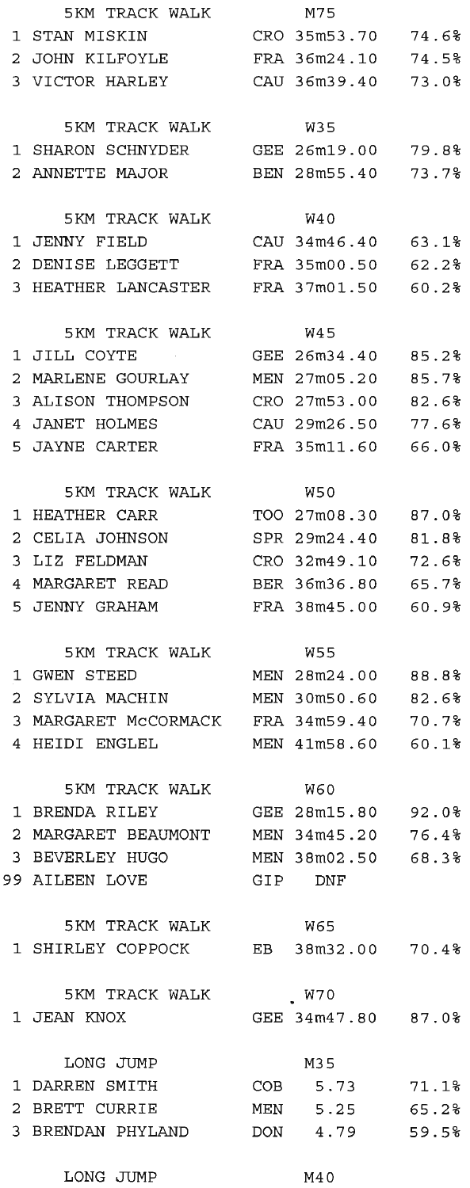|                       | 5KM TRACK WALK                         |     | M75                |       |
|-----------------------|----------------------------------------|-----|--------------------|-------|
|                       | 1 STAN MISKIN                          |     | CRO 35m53.70       | 74.6% |
|                       | 2 JOHN KILFOYLE                        |     | FRA 36m24.10       | 74.5% |
|                       | 3 VICTOR HARLEY                        |     | CAU 36m39.40       | 73.0% |
|                       |                                        |     |                    |       |
|                       | 5KM TRACK WALK                         |     | W35                |       |
|                       | 1 SHARON SCHNYDER                      |     | GEE 26m19.00       | 79.8% |
|                       | 2 ANNETTE MAJOR                        |     | BEN 28m55.40       | 73.7% |
|                       |                                        |     |                    |       |
|                       | 5KM TRACK WALK                         |     | W40                |       |
|                       | 1 JENNY FIELD                          |     | CAU 34m46.40       | 63.1% |
|                       | 2 DENISE LEGGETT                       |     | FRA 35m00.50       | 62.2% |
|                       | 3 HEATHER LANCASTER                    |     | FRA 37m01.50       | 60.2% |
|                       |                                        |     |                    |       |
|                       | 5KM TRACK WALK                         |     | W45                |       |
|                       | 1 JILL COYTE                           |     | GEE 26m34.40       | 85.2% |
|                       | 2 MARLENE GOURLAY                      |     | MEN 27m05.20       | 85.7% |
| 3.                    | ALISON THOMPSON                        |     | CRO 27m53.00       | 82.6% |
|                       | 4 JANET HOLMES                         |     | CAU 29m26.50       | 77.6% |
|                       | 5 JAYNE CARTER                         |     | FRA 35m11.60       | 66.0% |
|                       |                                        |     |                    |       |
|                       | 5KM TRACK WALK                         |     | W50                |       |
|                       | 1 HEATHER CARR                         |     | TOO 27m08.30       | 87.0% |
| $\mathbf{2}^{\prime}$ | CELIA JOHNSON                          |     | SPR 29m24.40       | 81.8% |
|                       | 3 LIZ FELDMAN                          |     | CRO 32m49.10       | 72.6% |
|                       | 4 MARGARET READ                        |     | BER 36m36.80       | 65.7% |
|                       | 5 JENNY GRAHAM                         |     | FRA 38m45.00       | 60.9% |
|                       |                                        |     |                    |       |
|                       | 5KM TRACK WALK                         |     | W55                |       |
|                       | 1 GWEN STEED                           |     | MEN 28m24.00       | 88.8% |
|                       | 2 SYLVIA MACHIN                        |     | MEN 30m50.60       | 82.6% |
|                       | 3 MARGARET MCCORMACK                   |     | FRA 34m59.40       | 70.7% |
| $\overline{4}$        | HEIDI ENGLEL                           |     | MEN 41m58.60       | 60.1% |
|                       |                                        |     |                    |       |
|                       | 5KM TRACK WALK                         |     | W60                |       |
|                       | 1 BRENDA RILEY                         |     | GEE 28m15.80 92.0% |       |
|                       | 2 MARGARET BEAUMONT MEN 34m45.20 76.4% |     |                    |       |
|                       | 3 BEVERLEY HUGO                        |     | MEN 38m02.50 68.3% |       |
|                       | 99 AILEEN LOVE                         |     | GIP DNF            |       |
|                       |                                        |     |                    |       |
|                       | 5KM TRACK WALK                         |     | W65                |       |
|                       | 1 SHIRLEY COPPOCK EB 38m32.00 70.4%    |     |                    |       |
|                       |                                        |     |                    |       |
|                       | 5KM TRACK WALK                         |     | W70                |       |
|                       | 1 JEAN KNOX                            |     | GEE 34m47.80 87.0% |       |
|                       |                                        |     |                    |       |
|                       | LONG JUMP                              |     | M35                |       |
|                       | 1 DARREN SMITH                         |     | COB 5.73           | 71.1% |
|                       | 2 BRETT CURRIE                         |     | MEN 5.25           | 65.2% |
|                       | 3 BRENDAN PHYLAND                      | DON | 4.79               | 59.5% |

|       | M75                          |                |
|-------|------------------------------|----------------|
|       | CRO 35m53.70                 | 74.6%          |
|       | FRA 36m24.10                 | 74.5%          |
|       | ZAU 36m39.40                 | 73.0%          |
|       |                              |                |
|       | W35                          |                |
|       | EE 26m19.00                  | 79.8%          |
|       | BEN 28m55.40                 | 73.7%          |
|       |                              |                |
|       | W40                          |                |
|       | AU 34m46.40                  | 63.1%          |
|       | RA 35m00.50                  | 62.2%          |
|       | RA 37m01.50                  | 60.2%          |
|       |                              |                |
|       | W45                          |                |
|       | EE 26m34.40                  | 85.2%          |
| 1EN   | 27m05.20                     | 85.7%          |
| CRO . | 27m53.00                     | 82.6%          |
|       | 2AU 29m26.50                 | 77.6%          |
|       | FRA 35m11.60                 | 66.0%          |
|       |                              |                |
|       | W50                          |                |
|       | TOO 27m08.30                 | 87.0%          |
|       | SPR 29m24.40                 | 81.8%          |
| CRO   | 32m49.10                     | 72.6%          |
|       | BER 36m36.80                 | 65.7%          |
|       | FRA 38m45.00                 | 60.9%          |
|       |                              |                |
|       | W55                          |                |
|       | EN 28m24.00                  | 88.8%          |
|       | IEN 30m50.60                 | 82.6%          |
|       | FRA 34m59.40                 | 70.7%          |
|       | EN 41m58.60                  | 60.1%          |
|       |                              |                |
|       | <b>W60</b>                   |                |
|       | EE 28m15.80                  | 92.0%          |
|       | IEN 34m45.20<br>IEN 38m02.50 | 76.4%<br>68.3% |
| 9IP   | $_{\rm DNF}$                 |                |
|       |                              |                |
|       | W65                          |                |
|       | EB 38m32.00                  | 70.4%          |
|       |                              |                |
|       | W70                          |                |
|       | EE 34m47.80                  | 87.0%          |
|       |                              |                |
|       | M35                          |                |
| COB   | 5.73                         | 71.1%          |
| 1EN   | 5.25                         | 65.2%          |
| OON   | 4.79                         | 59.5%          |

LONG JUMP M40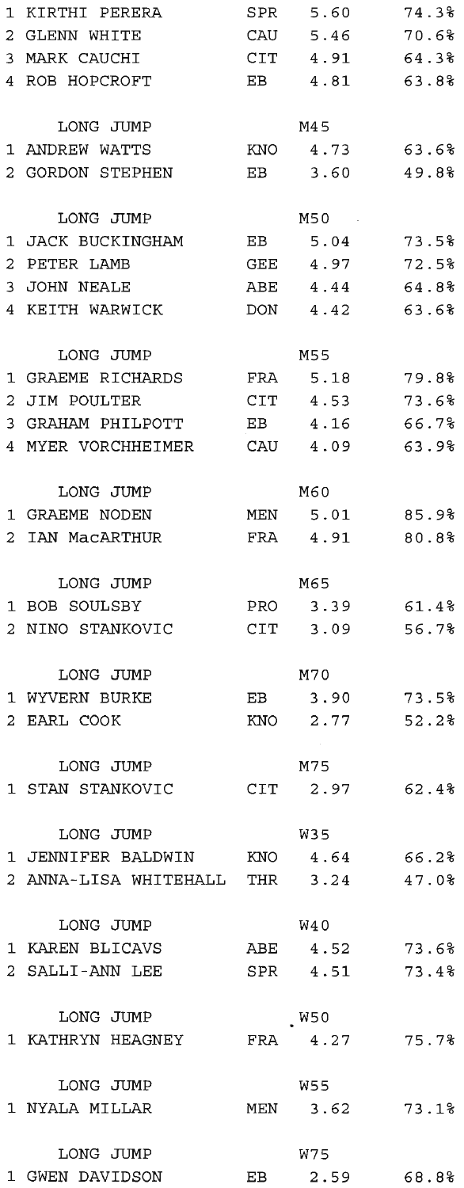| 1  | KIRTHI PERERA                    |     | SPR 5.60       | 74.3% |
|----|----------------------------------|-----|----------------|-------|
|    | 2 GLENN WHITE                    |     | CAU 5.46       | 70.6% |
|    | 3 MARK CAUCHI                    |     | CIT 4.91       | 64.3% |
|    | 4 ROB HOPCROFT                   | EB  | 4.81           | 63.8% |
|    |                                  |     |                |       |
|    | LONG JUMP                        |     | M4 5           |       |
|    | 1 ANDREW WATTS                   |     | KNO 4.73       | 63.6% |
|    | 2 GORDON STEPHEN                 | EB  | 3.60           | 49.8% |
|    |                                  |     |                |       |
|    | LONG JUMP                        |     | M50            |       |
|    | JACK BUCKINGHAM                  |     | 5.04           |       |
| 1  |                                  | EB  |                | 73.5% |
| 2  | PETER LAMB                       |     | GEE 4.97       | 72.5% |
|    | 3 JOHN NEALE                     |     | ABE 4.44       | 64.8% |
|    | 4 KEITH WARWICK                  |     | DON 4.42       | 63.6% |
|    |                                  |     |                |       |
|    | LONG JUMP                        |     | M55            |       |
| 1  | GRAEME RICHARDS                  | FRA | 5.18           | 79.8% |
| 2. | JIM POULTER                      |     | $CIT$ 4.53     | 73.6% |
|    | 3 GRAHAM PHILPOTT                |     | EB 4.16 66.7%  |       |
|    | 4 MYER VORCHHEIMER               |     | CAU 4.09       | 63.9% |
|    |                                  |     |                |       |
|    | LONG JUMP                        |     | M60            |       |
|    | 1 GRAEME NODEN                   | MEN | 5.01           | 85.9% |
|    | 2 IAN MacARTHUR                  |     | FRA 4.91       | 80.8% |
|    |                                  |     |                |       |
|    | LONG JUMP                        |     | M65            |       |
|    | 1 BOB SOULSBY                    | PRO | 3.39           | 61.4% |
|    | 2 NINO STANKOVIC                 | CIT | 3.09           | 56.7% |
|    |                                  |     |                |       |
|    | LONG JUMP                        |     | M70            |       |
|    | 1 WYVERN BURKE                   | EB  | 3.90           | 73.5% |
|    | 2 EARL COOK                      | KNO | 2.77           | 52.2% |
|    |                                  |     |                |       |
|    | LONG JUMP                        |     | M75            |       |
|    | 1 STAN STANKOVIC                 | CIT | 2.97           | 62.48 |
|    |                                  |     |                |       |
|    | LONG JUMP                        |     | W35            |       |
|    | 1 JENNIFER BALDWIN KNO 4.64      |     |                | 66.2% |
|    | 2 ANNA-LISA WHITEHALL THR 3.24   |     |                | 47.0% |
|    |                                  |     |                |       |
|    | LONG JUMP                        |     | W40            |       |
|    | 1 KAREN BLICAVS ABE 4.52 73.6%   |     |                |       |
|    | 2 SALLI-ANN LEE                  |     |                |       |
|    |                                  |     | SPR 4.51       | 73.4% |
|    |                                  |     |                |       |
|    | LONG JUMP                        |     | W50            |       |
|    | 1 KATHRYN HEAGNEY FRA 4.27 75.7% |     |                |       |
|    |                                  |     |                |       |
|    | LONG JUMP                        |     | W55            |       |
|    | 1 NYALA MILLAR                   |     | MEN 3.62 73.1% |       |
|    |                                  |     |                |       |
|    | LONG JUMP                        |     | W75            |       |
|    | 1 GWEN DAVIDSON                  |     | EB 2.59 68.8%  |       |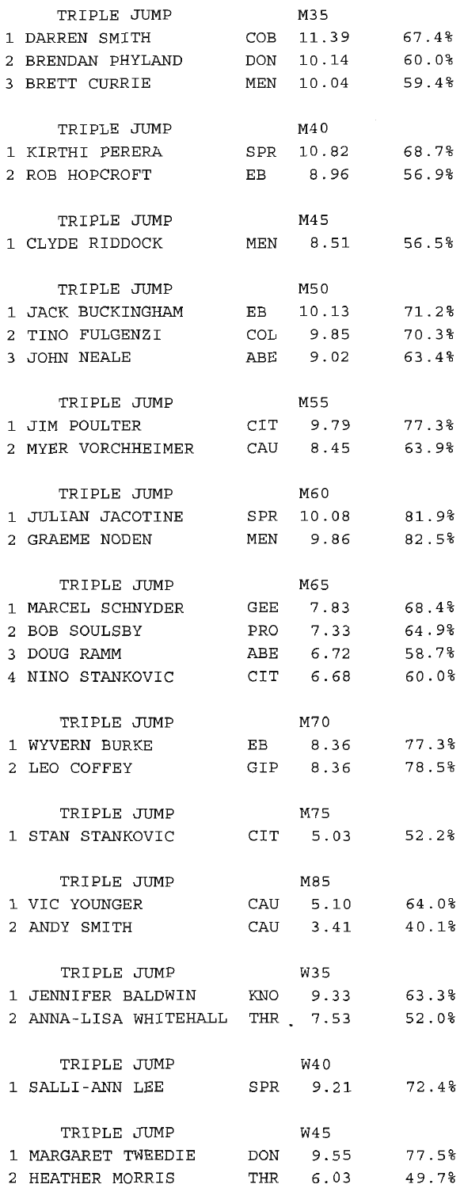|   | TRIPLE JUMP                      |     | M35             |       |
|---|----------------------------------|-----|-----------------|-------|
|   | 1 DARREN SMITH                   | COB | 11.39           | 67.4% |
|   | 2 BRENDAN PHYLAND                |     | DON 10.14 60.0% |       |
|   | 3 BRETT CURRIE                   | MEN | 10.04 59.4%     |       |
|   |                                  |     |                 |       |
|   | TRIPLE JUMP                      |     | M40             |       |
|   | 1 KIRTHI PERERA                  |     | SPR 10.82       | 68.7% |
|   | 2 ROB HOPCROFT                   | EB  | 8.96            | 56.9% |
|   |                                  |     |                 |       |
|   | TRIPLE JUMP                      |     | M45             |       |
|   | 1 CLYDE RIDDOCK                  |     | MEN 8.51        | 56.5% |
|   |                                  |     |                 |       |
|   | TRIPLE JUMP                      |     | M50             |       |
|   | 1 JACK BUCKINGHAM EB 10.13 71.2% |     |                 |       |
|   | 2 TINO FULGENZI                  |     | COL 9.85        | 70.3% |
|   | 3 JOHN NEALE                     | ABE | 9.02            | 63.48 |
|   |                                  |     |                 |       |
|   | TRIPLE JUMP                      |     | M55             |       |
|   | 1 JIM POULTER                    |     | CIT 9.79        | 77.3% |
|   | 2 MYER VORCHHEIMER               |     | CAU 8.45        | 63.98 |
|   |                                  |     |                 |       |
|   | TRIPLE JUMP                      |     | M60             |       |
|   | 1 JULIAN JACOTINE                |     | SPR 10.08       | 81.9% |
|   | 2 GRAEME NODEN                   |     | MEN 9.86        | 82.5% |
|   |                                  |     |                 |       |
|   | TRIPLE JUMP                      |     | M65             |       |
|   | 1 MARCEL SCHNYDER                |     | GEE 7.83        | 68.4% |
| 2 | BOB SOULSBY                      | PRO | 7.33            | 64.9% |
|   | 3 DOUG RAMM                      | ABE | 6.72            | 58.7% |
|   | 4 NINO STANKOVIC                 |     | CIT 6.68        | 60.0% |
|   |                                  |     |                 |       |
|   | TRIPLE JUMP                      |     | M70             |       |
|   | 1 WYVERN BURKE                   | EB  | 8.36            | 77.3% |
|   | 2 LEO COFFEY                     |     | GIP 8.36        | 78.5% |
|   |                                  |     |                 |       |
|   | TRIPLE JUMP                      |     | M75             |       |
|   | 1 STAN STANKOVIC                 |     | CIT 5.03        | 52.28 |
|   |                                  |     |                 |       |
|   | TRIPLE JUMP                      |     | M85             |       |
|   | 1 VIC YOUNGER                    | CAU | 5.10            | 64.0% |
|   | 2 ANDY SMITH                     |     | CAU 3.41        | 40.1% |
|   |                                  |     |                 |       |
|   | TRIPLE JUMP                      |     | W35             |       |
|   | 1 JENNIFER BALDWIN KNO           |     | 9.33            | 63.3% |
|   | 2 ANNA-LISA WHITEHALL THR 7.53   |     |                 | 52.0% |
|   |                                  |     |                 |       |
|   | TRIPLE JUMP                      |     | W4 0            |       |
|   | 1 SALLI-ANN LEE                  |     | SPR 9.21        | 72.48 |
|   |                                  |     |                 |       |
|   | TRIPLE JUMP                      |     | W45             |       |
|   | 1 MARGARET TWEEDIE               | DON | 9.55            | 77.5% |
|   | 2 HEATHER MORRIS                 |     | THR 6.03        | 49.7% |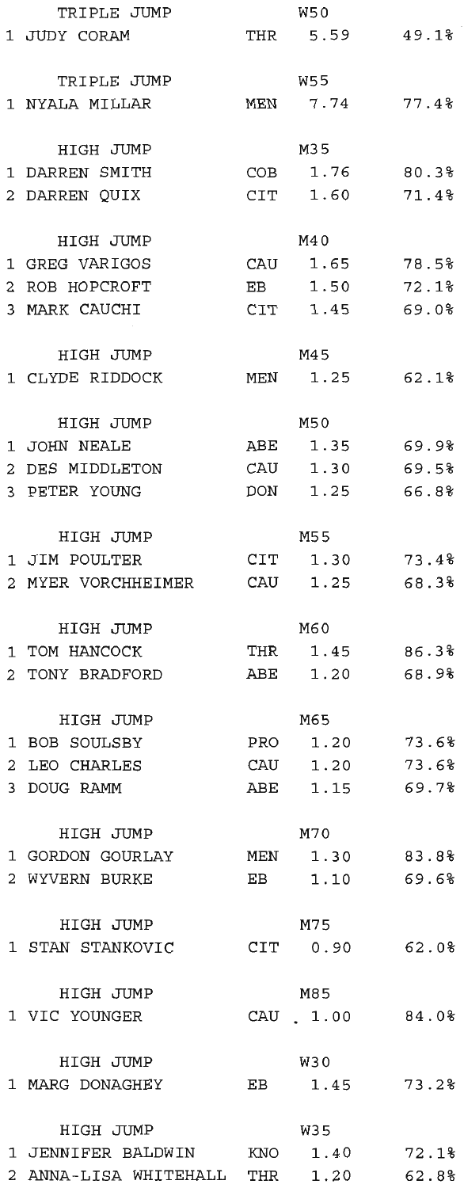| TRIPLE JUMP                       |            | W50            |       |
|-----------------------------------|------------|----------------|-------|
| 1 JUDY CORAM                      |            | THR 5.59 49.1% |       |
|                                   |            |                |       |
| TRIPLE JUMP                       |            | W55            |       |
| 1 NYALA MILLAR                    | <b>MEN</b> | 7.74           | 77.4% |
|                                   |            |                |       |
|                                   |            | M35            |       |
| HIGH JUMP                         |            |                |       |
| 1 DARREN SMITH                    |            | COB 1.76 80.3% |       |
| 2 DARREN OUIX                     |            | CIT 1.60       | 71.4% |
|                                   |            |                |       |
| HIGH JUMP                         |            | M40            |       |
| 1 GREG VARIGOS                    |            | CAU 1.65       | 78.5% |
| 2 ROB HOPCROFT                    |            | EB 1.50        | 72.1% |
| 3 MARK CAUCHI                     |            | CIT 1.45 69.0% |       |
|                                   |            |                |       |
| HIGH JUMP                         |            | M45            |       |
| 1 CLYDE RIDDOCK                   | MEN        | 1.25           | 62.1% |
|                                   |            |                |       |
| HIGH JUMP                         |            | M50            |       |
| 1 JOHN NEALE                      |            | ABE 1.35 69.9% |       |
|                                   |            |                |       |
| 2 DES MIDDLETON                   |            | CAU 1.30       | 69.5% |
| 3 PETER YOUNG                     |            | DON 1.25       | 66.8% |
|                                   |            |                |       |
| HIGH JUMP                         |            | M55            |       |
| 1 JIM POULTER                     |            | CIT 1.30 73.4% |       |
| 2 MYER VORCHHEIMER                |            | CAU 1.25       | 68.3% |
|                                   |            |                |       |
| HIGH JUMP                         |            | M60            |       |
| 1 TOM HANCOCK                     |            | THR 1.45 86.3% |       |
| 2 TONY BRADFORD                   |            | ABE 1.20 68.9% |       |
|                                   |            |                |       |
| HIGH JUMP                         |            | M65            |       |
| 1 BOB SOULSBY                     |            | PRO 1.20       | 73.6% |
|                                   |            |                |       |
| 2 LEO CHARLES                     |            | CAU 1.20 73.6% |       |
| 3 DOUG RAMM                       |            | ABE 1.15       | 69.7% |
|                                   |            |                |       |
| HIGH JUMP                         |            | M70            |       |
| 1 GORDON GOURLAY                  |            | MEN 1.30       | 83.8% |
| 2 WYVERN BURKE                    | EB         | 1.10           | 69.6% |
|                                   |            |                |       |
| HIGH JUMP                         |            | M75            |       |
| 1 STAN STANKOVIC CIT 0.90 62.0%   |            |                |       |
|                                   |            |                |       |
| HIGH JUMP                         |            | M85            |       |
| 1 VIC YOUNGER                     |            | CAU 1.00       | 84.0% |
|                                   |            |                |       |
|                                   |            |                |       |
| HIGH JUMP                         |            | W30            |       |
| 1 MARG DONAGHEY                   |            | EB 1.45 73.2%  |       |
|                                   |            |                |       |
| HIGH JUMP                         |            | W35            |       |
| 1 JENNIFER BALDWIN KNO 1.40 72.1% |            |                |       |
| 2 ANNA-LISA WHITEHALL THR 1.20    |            |                | 62.8% |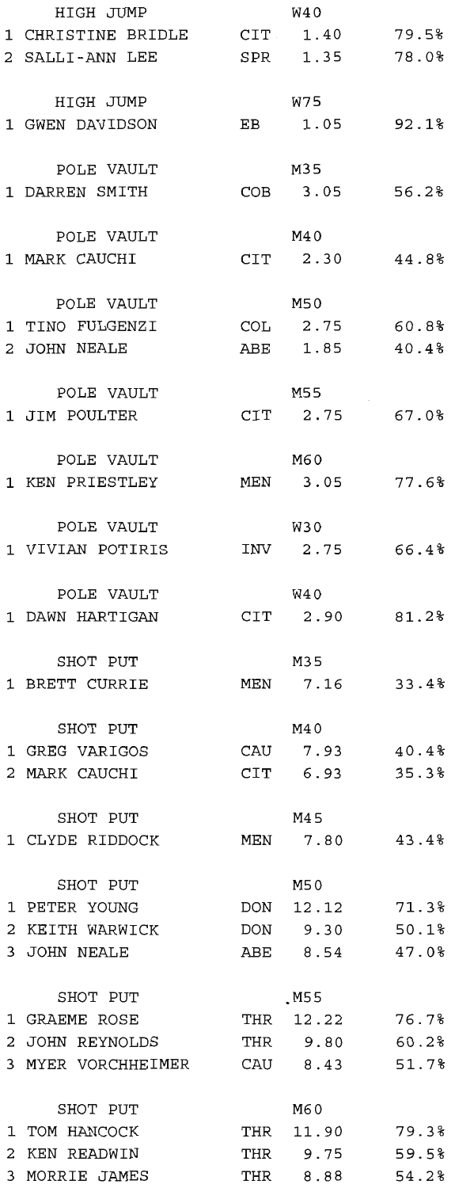| HIGH JUMP                         |     | W40             |       |
|-----------------------------------|-----|-----------------|-------|
| 1 CHRISTINE BRIDLE CIT 1.40 79.5% |     |                 |       |
| 2 SALLI-ANN LEE SPR 1.35 78.0%    |     |                 |       |
|                                   |     |                 |       |
| HIGH JUMP                         |     | W75             |       |
| 1 GWEN DAVIDSON                   | EB  | $1.05$ $92.1%$  |       |
|                                   |     |                 |       |
| POLE VAULT                        |     | M35             |       |
| 1 DARREN SMITH                    |     | COB 3.05 56.2%  |       |
|                                   |     |                 |       |
| POLE VAULT                        |     | M40             |       |
| 1 MARK CAUCHI                     |     | CIT 2.30 44.8%  |       |
|                                   |     |                 |       |
| POLE VAULT                        |     | M50             |       |
| 1 TINO FULGENZI COL 2.75 60.8%    |     |                 |       |
| 2 JOHN NEALE                      | ABE | 1.85            | 40.4% |
|                                   |     |                 |       |
| POLE VAULT                        |     | <b>M55</b>      |       |
| 1 JIM POULTER                     |     | CIT 2.75        | 67.0% |
|                                   |     |                 |       |
| POLE VAULT                        |     | M60             |       |
| 1 KEN PRIESTLEY                   |     | MEN 3.05        | 77.6% |
|                                   |     |                 |       |
| POLE VAULT                        |     | W30             |       |
| 1 VIVIAN POTIRIS 1NV 2.75 66.4%   |     |                 |       |
|                                   |     |                 |       |
| POLE VAULT                        |     | W40             |       |
| 1 DAWN HARTIGAN                   |     | CIT 2.90        | 81.2% |
|                                   |     |                 |       |
| SHOT PUT                          |     | M35             |       |
| 1 BRETT CURRIE MEN 7.16 33.4%     |     |                 |       |
|                                   |     |                 |       |
| SHOT PUT                          |     | M40             |       |
| 1 GREG VARIGOS CAU 7.93 40.4%     |     |                 |       |
| 2 MARK CAUCHI                     |     | CIT 6.93        | 35.3% |
|                                   |     |                 |       |
| SHOT PUT                          |     | M4 5            |       |
| 1 CLYDE RIDDOCK                   |     | MEN 7.80        | 43.4% |
|                                   |     |                 |       |
| SHOT PUT                          |     | M50             |       |
| 1 PETER YOUNG                     |     | DON 12.12 71.3% |       |
| 2 KEITH WARWICK                   |     | DON 9.30 50.1%  |       |
| 3 JOHN NEALE                      |     | ABE 8.54        | 47.0% |
|                                   |     |                 |       |
| SHOT PUT                          |     | .M55            |       |
| 1 GRAEME ROSE                     |     | THR 12.22 76.7% |       |
| 2 JOHN REYNOLDS                   |     | THR 9.80 60.2%  |       |
| 3 MYER VORCHHEIMER                |     | CAU 8.43 51.7%  |       |
|                                   |     |                 |       |
| SHOT PUT                          |     | M60             |       |
| 1 TOM HANCOCK                     |     | THR 11.90 79.3% |       |
| 2 KEN READWIN                     |     | THR 9.75 59.5%  |       |
| 3 MORRIE JAMES                    |     | THR 8.88        | 54.2% |
|                                   |     |                 |       |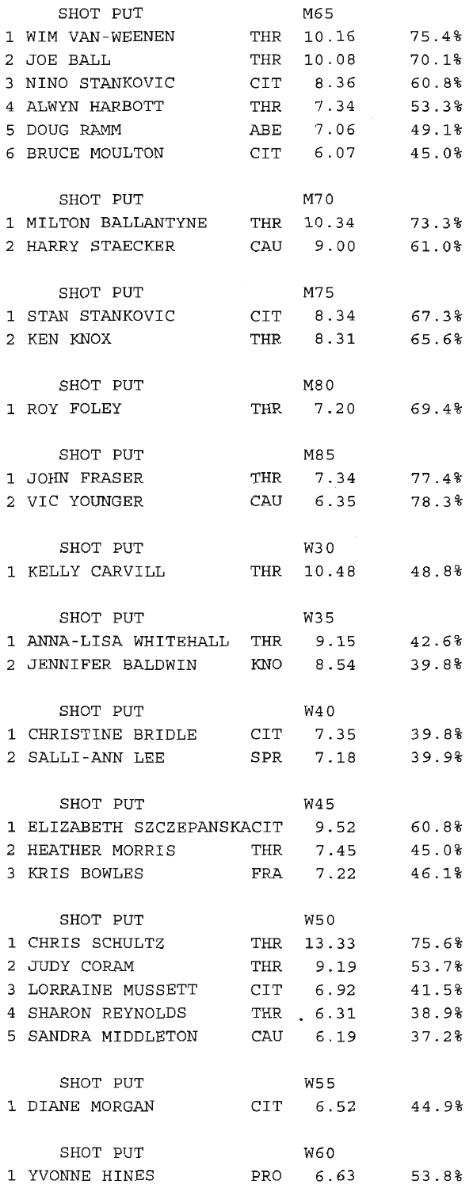| SHOT PUT                          |     | M65            |          |
|-----------------------------------|-----|----------------|----------|
| 1 WIM VAN-WEENEN                  | THR | 10.16          | 75.4%    |
| 2 JOE BALL                        | THR | 10.08          | 70.1%    |
| 3 NINO STANKOVIC                  |     | CIT 8.36 60.8% |          |
| 4 ALWYN HARBOTT                   |     | THR 7.34       | 53.3%    |
| 5 DOUG RAMM                       |     | ABE 7.06       | 49.1%    |
| 6 BRUCE MOULTON                   | CIT | 6.07           | 45.0%    |
|                                   |     |                |          |
| SHOT PUT                          |     | M70            |          |
|                                   |     |                |          |
| 1 MILTON BALLANTYNE               | THR | 10.34          | 73.3%    |
| 2 HARRY STAECKER                  |     | CAU 9.00       | 61.0%    |
| SHOT PUT                          |     | M75            |          |
| 1 STAN STANKOVIC                  |     | CIT 8.34       | 67.3%    |
|                                   |     |                |          |
| 2 KEN KNOX                        |     | THR 8.31       | 65.6%    |
| SHOT PUT                          |     | M80            |          |
| 1 ROY FOLEY                       | THR | 7.20           | 69.48    |
|                                   |     |                |          |
| SHOT PUT                          |     | M85            |          |
| 1 JOHN FRASER                     |     | THR 7.34       | $77.4\,$ |
| 2 VIC YOUNGER                     |     | CAU 6.35       | 78.3%    |
|                                   |     |                |          |
| SHOT PUT                          |     | W30            |          |
| 1 KELLY CARVILL                   |     | THR 10.48      | 48.8%    |
|                                   |     |                |          |
| SHOT PUT                          |     | W35            |          |
| 1 ANNA-LISA WHITEHALL THR         |     | 9.15           | 42.6%    |
| 2 JENNIFER BALDWIN                | KNO | 8.54           | 39.8%    |
|                                   |     |                |          |
| SHOT PUT                          |     | W4 0           |          |
| 1 CHRISTINE BRIDLE CIT 7.35 39.8% |     |                |          |
| 2 SALLI-ANN LEE                   | SPR | 7.18           | 39.9%    |
|                                   |     |                |          |
| SHOT PUT                          |     | W45            |          |
| 1 ELIZABETH SZCZEPANSKACIT 9.52   |     |                | 60.8%    |
| 2 HEATHER MORRIS                  |     | THR 7.45 45.0% |          |
| 3 KRIS BOWLES                     |     | FRA 7.22       | 46.1%    |
|                                   |     |                |          |
| SHOT PUT                          |     | <b>W50</b>     |          |
| 1 CHRIS SCHULTZ                   |     | THR 13.33      | 75.6%    |
| 2 JUDY CORAM                      |     | THR 9.19       | 53.7%    |
| 3 LORRAINE MUSSETT CIT 6.92 41.5% |     |                |          |
| 4 SHARON REYNOLDS                 |     | THR 6.31       | 38.9%    |
| 5 SANDRA MIDDLETON                |     | CAU 6.19       | 37.2%    |
|                                   |     |                |          |
| SHOT PUT                          |     | W55            |          |
| 1 DIANE MORGAN                    |     | CIT 6.52       | 44.98    |
|                                   |     |                |          |
| SHOT PUT                          |     | <b>W60</b>     |          |
| 1 YVONNE HINES                    | PRO | 6.63           | 53.8%    |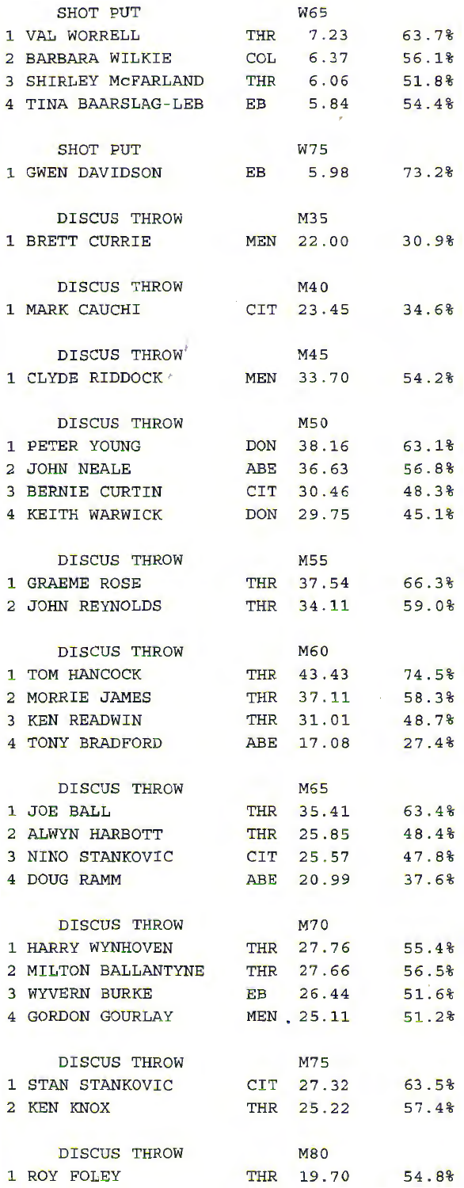| SHOT PUT                            |     | <b>W65</b>       |       |
|-------------------------------------|-----|------------------|-------|
| 1 VAL WORRELL                       |     | THR 7.23         | 63.7% |
| 2 BARBARA WILKIE                    |     | COL 6.37         | 56.1% |
| 3 SHIRLEY MCFARLAND                 | THR | 6.06             | 51.8% |
| 4 TINA BAARSLAG-LEB EB 5.84 54.4%   |     |                  |       |
| SHOT PUT                            |     | W75              |       |
| 1 GWEN DAVIDSON                     | EB  | 5.98             | 73.2% |
| DISCUS THROW                        |     | M35              |       |
| 1 BRETT CURRIE                      |     | MEN 22.00        | 30.9% |
| DISCUS THROW                        |     | M40              |       |
| 1 MARK CAUCHI                       |     | CIT 23.45        | 34.6% |
| DISCUS THROW                        |     | M45              |       |
| 1 CLYDE RIDDOCK /                   |     | MEN 33.70        | 54.2% |
| DISCUS THROW                        |     | M50              |       |
| 1 PETER YOUNG                       |     | DON 38.16        | 63.1% |
| 2 JOHN NEALE                        |     | ABE 36.63        | 56.8% |
| 3 BERNIE CURTIN                     |     | CIT 30.46 48.3%  |       |
| 4 KEITH WARWICK                     |     | DON 29.75        | 45.1% |
| <b>DISCUS THROW</b>                 |     | M55              |       |
| 1 GRAEME ROSE                       |     | THR 37.54 66.3%  |       |
| 2 JOHN REYNOLDS                     |     | THR 34.11 59.0%  |       |
| DISCUS THROW                        |     | M60              |       |
| 1 TOM HANCOCK                       |     | THR 43.43        | 74.5% |
| 2 MORRIE JAMES                      |     | THR 37.11 58.3%  |       |
| 3 KEN READWIN                       |     | THR 31.01 48.7%  |       |
| 4 TONY BRADFORD                     |     | ABE 17.08 27.4%  |       |
| DISCUS THROW                        |     | M65              |       |
| 1 JOE BALL                          |     | THR 35.41 63.4%  |       |
| 2 ALWYN HARBOTT                     |     | THR 25.85 48.4%  |       |
| 3 NINO STANKOVIC                    |     | CIT 25.57 47.8%  |       |
| 4 DOUG RAMM                         |     | ABE 20.99 37.6%  |       |
| DISCUS THROW                        |     | M70              |       |
| 1 HARRY WYNHOVEN                    |     | THR 27.76 55.4%  |       |
| 2 MILTON BALLANTYNE THR 27.66 56.5% |     |                  |       |
| 3 WYVERN BURKE                      |     | EB 26.44 51.6%   |       |
| 4 GORDON GOURLAY                    |     | MEN. 25.11 51.2% |       |
| DISCUS THROW                        |     | M75              |       |
| 1 STAN STANKOVIC                    |     | CIT 27.32 63.5%  |       |
| 2 KEN KNOX                          |     | THR 25.22 57.4%  |       |
| DISCUS THROW                        |     | <b>M80</b>       |       |
| 1 ROY FOLEY                         |     | THR 19.70 54.8%  |       |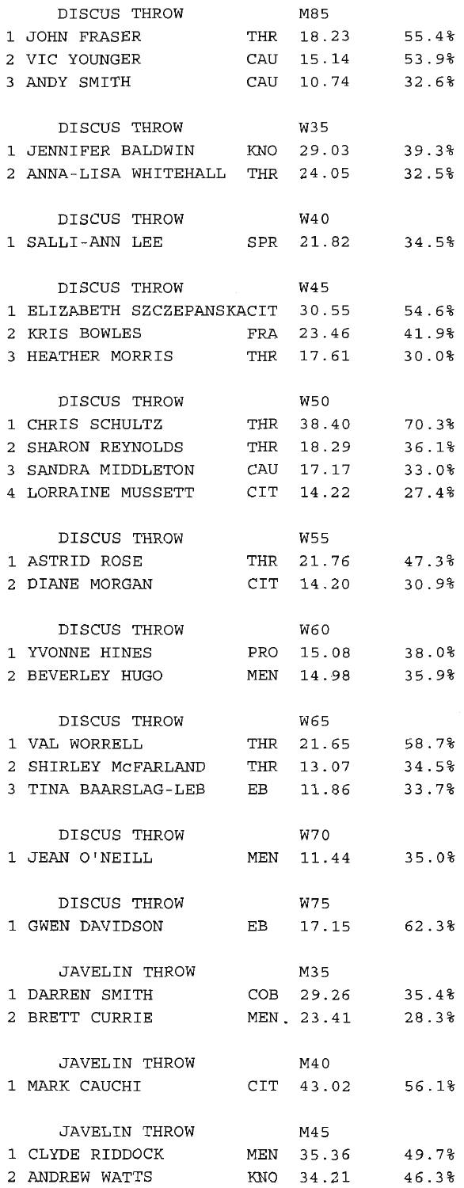|                | DISCUS THROW                   |            | M85             |                |
|----------------|--------------------------------|------------|-----------------|----------------|
|                | 1 JOHN FRASER                  | THR        | 18.23           | 55.4%          |
|                | 2 VIC YOUNGER                  | CAU        | 15.14           | 53.9%          |
|                | 3 ANDY SMITH                   | CAU        | 10.74           | 32.6%          |
|                |                                |            |                 |                |
|                | DISCUS THROW                   |            | <b>W35</b>      |                |
|                | 1 JENNIFER BALDWIN             | KNO        | 29.03           | 39.3%          |
|                | 2 ANNA-LISA WHITEHALL          | THR        | 24.05           | 32.5%          |
|                |                                |            |                 |                |
|                | DISCUS THROW                   |            | <b>W40</b>      |                |
|                | 1 SALLI-ANN LEE                |            | SPR 21.82       | 34.5%          |
|                |                                |            |                 |                |
|                | DISCUS THROW                   |            | <b>W45</b>      |                |
| 1              | ELIZABETH SZCZEPANSKACIT       |            | 30.55           | 54.6%<br>41.9% |
| 2<br>3         | KRIS BOWLES<br>HEATHER MORRIS  | FRA<br>THR | 23.46<br>17.61  | 30.0%          |
|                |                                |            |                 |                |
|                | DISCUS THROW                   |            | W50             |                |
|                | 1 CHRIS SCHULTZ                | THR        | 38.40           | 70.3%          |
|                | 2 SHARON REYNOLDS              | THR        | 18.29           | 36.1%          |
|                | 3 SANDRA MIDDLETON             | CAU        | 17.17           | 33.0%          |
|                | 4 LORRAINE MUSSETT             | CIT        | 14.22           | 27.4%          |
|                |                                |            |                 |                |
|                | DISCUS THROW                   |            | <b>W55</b>      |                |
|                | 1 ASTRID ROSE                  | THR        | 21.76           | 47.3%          |
| $\overline{a}$ | DIANE MORGAN                   | CIT        | 14.20           | 30.9%          |
|                |                                |            |                 |                |
|                | DISCUS THROW                   |            | W60             |                |
|                | 1 YVONNE HINES                 | PRO        | 15.08           | 38.0%          |
| 2              | BEVERLEY HUGO                  | MEN        | 14.98           | 35.9%          |
|                |                                |            |                 |                |
|                | DISCUS THROW                   |            | <b>W65</b>      |                |
|                | 1 VAL WORRELL                  | THR        | 21.65           | 58.7%          |
| 2              | SHIRLEY MCFARLAND              | THR        | 13.07           | 34.5%          |
|                | 3 TINA BAARSLAG-LEB            | EB         | 11.86           | 33.7%          |
|                |                                |            |                 |                |
|                | DISCUS THROW                   |            | W70             |                |
|                | 1 JEAN O'NEILL                 |            | MEN 11.44       | 35.0%          |
|                | DISCUS THROW                   |            | W75             |                |
|                | 1 GWEN DAVIDSON EB 17.15 62.3% |            |                 |                |
|                |                                |            |                 |                |
|                | JAVELIN THROW                  |            | M35             |                |
|                | 1 DARREN SMITH                 |            | COB 29.26       | 35.4%          |
|                | 2 BRETT CURRIE                 |            | MEN 23.41 28.3% |                |
|                |                                |            |                 |                |
|                | JAVELIN THROW                  |            | M40             |                |
|                | 1 MARK CAUCHI                  |            | CIT 43.02 56.1% |                |
|                |                                |            |                 |                |
|                | JAVELIN THROW                  |            | M45             |                |
|                | 1 CLYDE RIDDOCK                |            | MEN 35.36 49.7% |                |
|                | 2 ANDREW WATTS                 |            | KNO 34.21       | 46.3%          |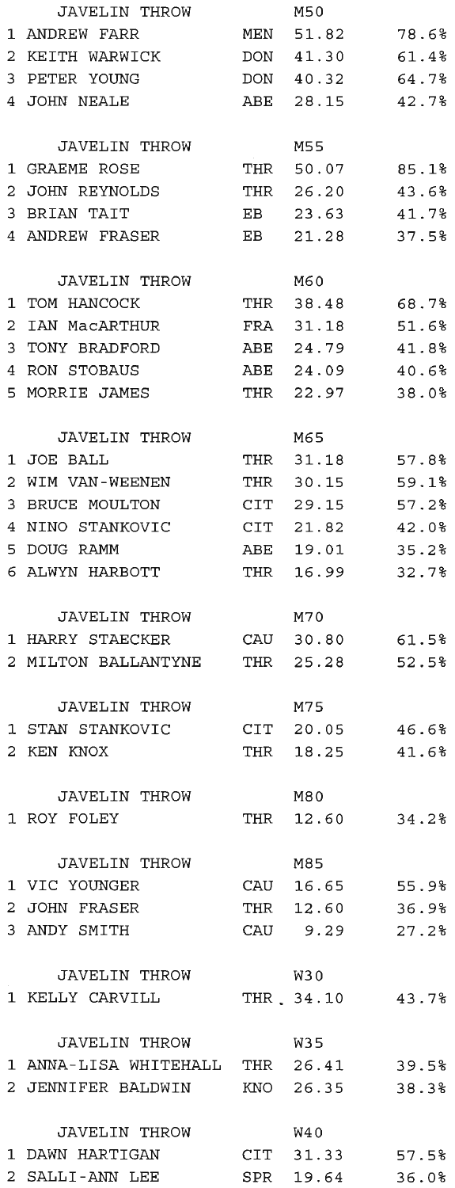|                | JAVELIN THROW                      |     | M50                          |                |
|----------------|------------------------------------|-----|------------------------------|----------------|
|                | 1 ANDREW FARR                      | MEN | 51.82                        | 78.6%          |
| 2              | KEITH WARWICK                      |     | DON 41.30                    | 61.4%          |
| 3              | PETER YOUNG                        |     | DON 40.32                    | 64.7%          |
|                | 4 JOHN NEALE                       | ABE | 28.15                        | 42.7%          |
|                |                                    |     |                              |                |
|                | JAVELIN THROW                      |     | M55                          |                |
|                | 1 GRAEME ROSE                      |     | THR 50.07                    | 85.1%          |
| 2              | JOHN REYNOLDS                      |     | THR 26.20                    | 43.6%          |
| 3              | BRIAN TAIT                         | EB. | 23.63                        | 41.7%          |
|                | 4 ANDREW FRASER                    | EB  | 21.28                        | 37.5%          |
|                |                                    |     |                              |                |
|                | JAVELIN THROW                      |     | M60                          |                |
| 1              | TOM HANCOCK                        |     | THR 38.48                    | 68.7%          |
| 2              | IAN MacARTHUR                      | FRA | 31.18                        | 51.6%          |
| 3              | TONY BRADFORD                      | ABE | 24.79                        | 41.8%          |
| 4              | RON STOBAUS                        | ABE | 24.09                        | 40.6%          |
|                | 5 MORRIE JAMES                     | THR | 22.97                        | 38.0%          |
|                |                                    |     |                              |                |
|                | JAVELIN THROW                      |     | M65                          |                |
|                | 1 JOE BALL                         | THR | 31.18                        | 57.8%          |
| $\overline{2}$ | WIM VAN-WEENEN                     | THR | 30.15                        | 59.1%          |
| 3              | BRUCE MOULTON                      | CIT | 29.15                        | 57.2%          |
| 4              | NINO STANKOVIC                     | CIT | 21.82                        | 42.0%          |
| 5.             | DOUG RAMM                          | ABE | 19.01                        | 35.2%          |
|                | 6 ALWYN HARBOTT                    | THR | 16.99                        | 32.7%          |
|                |                                    |     |                              |                |
|                |                                    |     |                              |                |
|                | JAVELIN THROW                      |     | M70                          |                |
|                | 1 HARRY STAECKER                   |     | CAU 30.80                    | 61.5%          |
| 2              | MILTON BALLANTYNE                  |     | THR 25.28                    | 52.5%          |
|                |                                    |     |                              |                |
|                | JAVELIN THROW                      |     | M75                          |                |
| 1              | STAN STANKOVIC                     | CIT | 20.05                        | 46.6%          |
| 2              | KEN KNOX                           | THR | 18.25                        | 41.6%          |
|                |                                    |     |                              |                |
|                | <b>JAVELIN THROW</b>               |     | M80                          |                |
|                | 1 ROY FOLEY                        |     | THR 12.60                    | 34.2%          |
|                | <b>JAVELIN THROW</b>               |     | M85                          |                |
|                | 1 VIC YOUNGER                      |     |                              |                |
|                | 2 JOHN FRASER                      |     | CAU 16.65                    | 55.9%          |
|                | 3 ANDY SMITH                       |     | THR 12.60<br>CAU 9.29        | 36.9%<br>27.2% |
|                |                                    |     |                              |                |
|                | JAVELIN THROW                      |     | W30                          |                |
|                | 1 KELLY CARVILL                    |     | THR 34.10 43.7%              |                |
|                |                                    |     |                              |                |
|                | JAVELIN THROW                      |     | W35                          |                |
|                | 1 ANNA-LISA WHITEHALL THR 26.41    |     |                              | 39.5%          |
|                | 2 JENNIFER BALDWIN                 |     | KNO 26.35                    | 38.3%          |
|                |                                    |     |                              |                |
|                | JAVELIN THROW                      |     | W40                          |                |
|                | 1 DAWN HARTIGAN<br>2 SALLI-ANN LEE |     | CIT 31.33<br>SPR 19.64 36.0% | 57.5%          |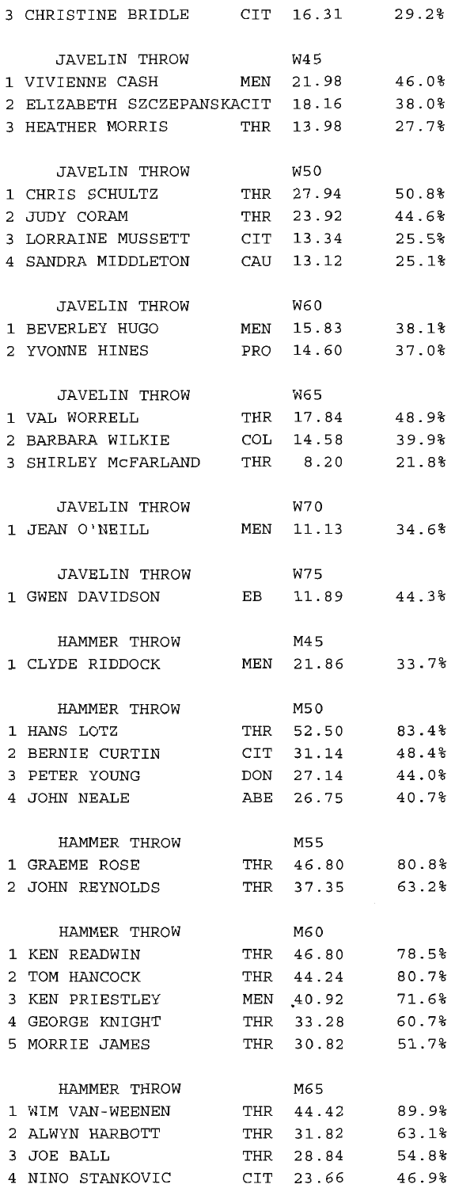| 3 CHRISTINE BRIDLE                     | CIT |                 | 16.31 29.2% |
|----------------------------------------|-----|-----------------|-------------|
| JAVELIN THROW                          |     | W45             |             |
| 1 VIVIENNE CASH                        |     | MEN 21.98 46.0% |             |
| 2 ELIZABETH SZCZEPANSKACIT 18.16 38.0% |     |                 |             |
| 3 HEATHER MORRIS                       |     | THR 13.98       | 27.7%       |
|                                        |     |                 |             |
| JAVELIN THROW                          |     | W50             |             |
| 1 CHRIS SCHULTZ                        |     | THR 27.94 50.8% |             |
| 2 JUDY CORAM                           | THR | 23.92 44.6%     |             |
| 3 LORRAINE MUSSETT                     |     | CIT 13.34       | 25.5%       |
| 4 SANDRA MIDDLETON                     | CAU | 13.12           | 25.1%       |
| JAVELIN THROW                          |     | W60             |             |
| 1 BEVERLEY HUGO                        |     | MEN 15.83 38.1% |             |
| 2 YVONNE HINES                         |     | PRO 14.60       | 37.0%       |
|                                        |     |                 |             |
| JAVELIN THROW                          |     | W65             |             |
| 1 VAL WORRELL                          |     | THR 17.84       | 48.9%       |
| 2 BARBARA WILKIE                       |     | COL 14.58 39.9% |             |
| 3 SHIRLEY MCFARLAND THR 8.20 21.8%     |     |                 |             |
| JAVELIN THROW                          |     | W70             |             |
| 1 JEAN O'NEILL                         |     | MEN 11.13       | 34.6%       |
| JAVELIN THROW                          |     | W75             |             |
| 1 GWEN DAVIDSON                        |     | EB 11.89        | 44.3%       |
|                                        |     |                 |             |
| HAMMER THROW                           |     | M45             |             |
| 1 CLYDE RIDDOCK                        |     | MEN 21.86       | 33.7%       |
| HAMMER THROW                           |     | M50             |             |
| 1 HANS LOTZ                            |     | THR 52.50       | 83.4%       |
| 2 BERNIE CURTIN                        |     | CIT 31.14       | 48.4%       |
| 3 PETER YOUNG                          |     | DON 27.14       | 44.0%       |
| 4 JOHN NEALE                           |     | ABE 26.75 40.7% |             |
|                                        |     |                 |             |
| HAMMER THROW                           |     | M55             |             |
| 1 GRAEME ROSE                          |     | THR 46.80       | 80.8%       |
| 2 JOHN REYNOLDS                        |     | THR 37.35       | 63.2%       |
| HAMMER THROW                           |     | M60             |             |
| 1 KEN READWIN                          |     | THR 46.80 78.5% |             |
| 2 TOM HANCOCK                          |     | THR 44.24       | 80.7%       |
| 3 KEN PRIESTLEY                        |     | MEN 40.92       | 71.6%       |
| 4 GEORGE KNIGHT                        |     | THR 33.28       | 60.7%       |
| 5 MORRIE JAMES                         |     | THR 30.82 51.7% |             |
| HAMMER THROW                           |     | M65             |             |
| 1 WIM VAN-WEENEN                       |     | THR 44.42       | 89.9%       |
| 2 ALWYN HARBOTT                        |     | THR 31.82       | 63.1%       |
| 3 JOE BALL                             |     | THR 28.84 54.8% |             |
| 4 NINO STANKOVIC                       |     | CIT 23.66 46.9% |             |
|                                        |     |                 |             |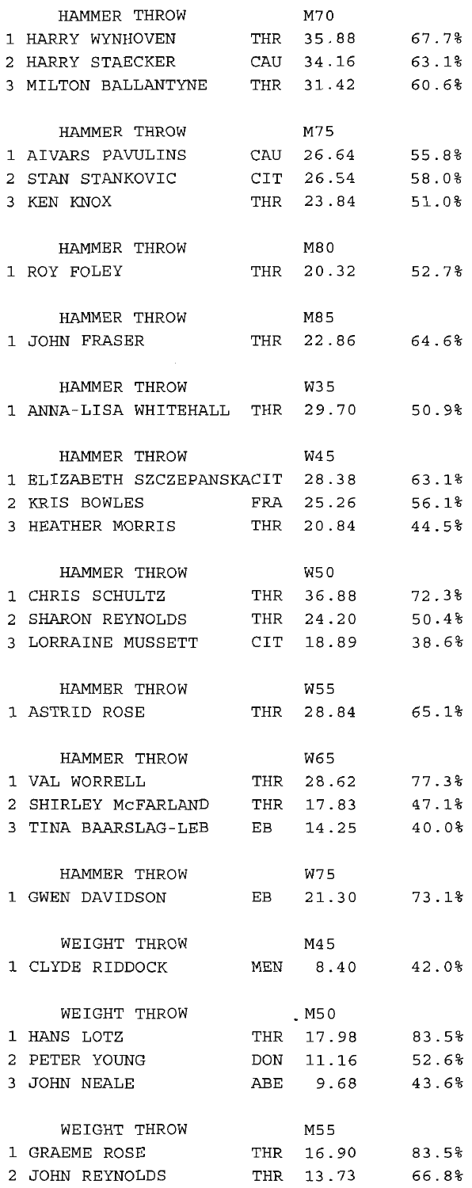| 67.7%<br>1 HARRY WYNHOVEN<br>THR 35.88<br>CAU 34.16<br>63.1%<br>2 HARRY STAECKER<br>3 MILTON BALLANTYNE<br>THR 31.42<br>60.6%<br>M75<br>HAMMER THROW<br>CAU 26.64 55.8%<br>1 AIVARS PAVULINS<br>CIT 26.54<br>58.0%<br>2 STAN STANKOVIC<br>THR 23.84<br>51.0%<br>3 KEN KNOX<br>M80<br>HAMMER THROW<br>1 ROY FOLEY<br>THR 20.32<br>52.78<br>HAMMER THROW<br>M85<br>THR 22.86<br>64.6%<br>1 JOHN FRASER<br>W35<br>HAMMER THROW<br>1 ANNA-LISA WHITEHALL THR 29.70<br>50.9%<br>HAMMER THROW<br>W45<br>1 ELIZABETH SZCZEPANSKACIT 28.38<br>63.1%<br>25.26<br>56.1%<br>KRIS BOWLES<br>FRA<br>2.<br>3 HEATHER MORRIS<br>20.84<br>44.5%<br>THR<br>W50<br>HAMMER THROW<br>36.88<br>72.3%<br>1 CHRIS SCHULTZ<br>THR<br>SHARON REYNOLDS<br>24.20<br>50.4%<br>2<br>THR<br>3 LORRAINE MUSSETT<br>18.89<br>38.6%<br>CIT<br>W55<br>HAMMER THROW<br>65.1%<br>28.84<br>1 ASTRID ROSE<br>THR<br>W65<br>HAMMER THROW<br>1 VAL WORRELL<br>THR 28.62<br>77.3%<br>2 SHIRLEY MCFARLAND<br>THR 17.83<br>47.1%<br>3 TINA BAARSLAG-LEB<br>EB<br>$14.25$ $40.08$<br>W75<br>HAMMER THROW<br>1 GWEN DAVIDSON<br>EB 21.30<br>73.1%<br>WEIGHT THROW<br>M45<br>MEN 8.40<br>1 CLYDE RIDDOCK<br>42.08<br>WEIGHT THROW<br>. M50<br>THR 17.98 83.5%<br>1 HANS LOTZ<br>2 PETER YOUNG<br>DON 11.16 52.6%<br>ABE 9.68<br>3 JOHN NEALE<br>43.6%<br>M55<br>WEIGHT THROW<br>1 GRAEME ROSE<br>THR 16.90<br>83.5%<br>THR 13.73 | HAMMER THROW    | M70 |       |
|------------------------------------------------------------------------------------------------------------------------------------------------------------------------------------------------------------------------------------------------------------------------------------------------------------------------------------------------------------------------------------------------------------------------------------------------------------------------------------------------------------------------------------------------------------------------------------------------------------------------------------------------------------------------------------------------------------------------------------------------------------------------------------------------------------------------------------------------------------------------------------------------------------------------------------------------------------------------------------------------------------------------------------------------------------------------------------------------------------------------------------------------------------------------------------------------------------------------------------------------------------------------------------------------------------------------------------------------------------------------------------|-----------------|-----|-------|
|                                                                                                                                                                                                                                                                                                                                                                                                                                                                                                                                                                                                                                                                                                                                                                                                                                                                                                                                                                                                                                                                                                                                                                                                                                                                                                                                                                                    |                 |     |       |
|                                                                                                                                                                                                                                                                                                                                                                                                                                                                                                                                                                                                                                                                                                                                                                                                                                                                                                                                                                                                                                                                                                                                                                                                                                                                                                                                                                                    |                 |     |       |
|                                                                                                                                                                                                                                                                                                                                                                                                                                                                                                                                                                                                                                                                                                                                                                                                                                                                                                                                                                                                                                                                                                                                                                                                                                                                                                                                                                                    |                 |     |       |
|                                                                                                                                                                                                                                                                                                                                                                                                                                                                                                                                                                                                                                                                                                                                                                                                                                                                                                                                                                                                                                                                                                                                                                                                                                                                                                                                                                                    |                 |     |       |
|                                                                                                                                                                                                                                                                                                                                                                                                                                                                                                                                                                                                                                                                                                                                                                                                                                                                                                                                                                                                                                                                                                                                                                                                                                                                                                                                                                                    |                 |     |       |
|                                                                                                                                                                                                                                                                                                                                                                                                                                                                                                                                                                                                                                                                                                                                                                                                                                                                                                                                                                                                                                                                                                                                                                                                                                                                                                                                                                                    |                 |     |       |
|                                                                                                                                                                                                                                                                                                                                                                                                                                                                                                                                                                                                                                                                                                                                                                                                                                                                                                                                                                                                                                                                                                                                                                                                                                                                                                                                                                                    |                 |     |       |
|                                                                                                                                                                                                                                                                                                                                                                                                                                                                                                                                                                                                                                                                                                                                                                                                                                                                                                                                                                                                                                                                                                                                                                                                                                                                                                                                                                                    |                 |     |       |
|                                                                                                                                                                                                                                                                                                                                                                                                                                                                                                                                                                                                                                                                                                                                                                                                                                                                                                                                                                                                                                                                                                                                                                                                                                                                                                                                                                                    |                 |     |       |
|                                                                                                                                                                                                                                                                                                                                                                                                                                                                                                                                                                                                                                                                                                                                                                                                                                                                                                                                                                                                                                                                                                                                                                                                                                                                                                                                                                                    |                 |     |       |
|                                                                                                                                                                                                                                                                                                                                                                                                                                                                                                                                                                                                                                                                                                                                                                                                                                                                                                                                                                                                                                                                                                                                                                                                                                                                                                                                                                                    |                 |     |       |
|                                                                                                                                                                                                                                                                                                                                                                                                                                                                                                                                                                                                                                                                                                                                                                                                                                                                                                                                                                                                                                                                                                                                                                                                                                                                                                                                                                                    |                 |     |       |
|                                                                                                                                                                                                                                                                                                                                                                                                                                                                                                                                                                                                                                                                                                                                                                                                                                                                                                                                                                                                                                                                                                                                                                                                                                                                                                                                                                                    |                 |     |       |
|                                                                                                                                                                                                                                                                                                                                                                                                                                                                                                                                                                                                                                                                                                                                                                                                                                                                                                                                                                                                                                                                                                                                                                                                                                                                                                                                                                                    |                 |     |       |
|                                                                                                                                                                                                                                                                                                                                                                                                                                                                                                                                                                                                                                                                                                                                                                                                                                                                                                                                                                                                                                                                                                                                                                                                                                                                                                                                                                                    |                 |     |       |
|                                                                                                                                                                                                                                                                                                                                                                                                                                                                                                                                                                                                                                                                                                                                                                                                                                                                                                                                                                                                                                                                                                                                                                                                                                                                                                                                                                                    |                 |     |       |
|                                                                                                                                                                                                                                                                                                                                                                                                                                                                                                                                                                                                                                                                                                                                                                                                                                                                                                                                                                                                                                                                                                                                                                                                                                                                                                                                                                                    |                 |     |       |
|                                                                                                                                                                                                                                                                                                                                                                                                                                                                                                                                                                                                                                                                                                                                                                                                                                                                                                                                                                                                                                                                                                                                                                                                                                                                                                                                                                                    |                 |     |       |
|                                                                                                                                                                                                                                                                                                                                                                                                                                                                                                                                                                                                                                                                                                                                                                                                                                                                                                                                                                                                                                                                                                                                                                                                                                                                                                                                                                                    |                 |     |       |
|                                                                                                                                                                                                                                                                                                                                                                                                                                                                                                                                                                                                                                                                                                                                                                                                                                                                                                                                                                                                                                                                                                                                                                                                                                                                                                                                                                                    |                 |     |       |
|                                                                                                                                                                                                                                                                                                                                                                                                                                                                                                                                                                                                                                                                                                                                                                                                                                                                                                                                                                                                                                                                                                                                                                                                                                                                                                                                                                                    |                 |     |       |
|                                                                                                                                                                                                                                                                                                                                                                                                                                                                                                                                                                                                                                                                                                                                                                                                                                                                                                                                                                                                                                                                                                                                                                                                                                                                                                                                                                                    |                 |     |       |
|                                                                                                                                                                                                                                                                                                                                                                                                                                                                                                                                                                                                                                                                                                                                                                                                                                                                                                                                                                                                                                                                                                                                                                                                                                                                                                                                                                                    |                 |     |       |
|                                                                                                                                                                                                                                                                                                                                                                                                                                                                                                                                                                                                                                                                                                                                                                                                                                                                                                                                                                                                                                                                                                                                                                                                                                                                                                                                                                                    |                 |     |       |
|                                                                                                                                                                                                                                                                                                                                                                                                                                                                                                                                                                                                                                                                                                                                                                                                                                                                                                                                                                                                                                                                                                                                                                                                                                                                                                                                                                                    |                 |     |       |
|                                                                                                                                                                                                                                                                                                                                                                                                                                                                                                                                                                                                                                                                                                                                                                                                                                                                                                                                                                                                                                                                                                                                                                                                                                                                                                                                                                                    |                 |     |       |
|                                                                                                                                                                                                                                                                                                                                                                                                                                                                                                                                                                                                                                                                                                                                                                                                                                                                                                                                                                                                                                                                                                                                                                                                                                                                                                                                                                                    |                 |     |       |
|                                                                                                                                                                                                                                                                                                                                                                                                                                                                                                                                                                                                                                                                                                                                                                                                                                                                                                                                                                                                                                                                                                                                                                                                                                                                                                                                                                                    |                 |     |       |
|                                                                                                                                                                                                                                                                                                                                                                                                                                                                                                                                                                                                                                                                                                                                                                                                                                                                                                                                                                                                                                                                                                                                                                                                                                                                                                                                                                                    |                 |     |       |
|                                                                                                                                                                                                                                                                                                                                                                                                                                                                                                                                                                                                                                                                                                                                                                                                                                                                                                                                                                                                                                                                                                                                                                                                                                                                                                                                                                                    |                 |     |       |
|                                                                                                                                                                                                                                                                                                                                                                                                                                                                                                                                                                                                                                                                                                                                                                                                                                                                                                                                                                                                                                                                                                                                                                                                                                                                                                                                                                                    |                 |     |       |
|                                                                                                                                                                                                                                                                                                                                                                                                                                                                                                                                                                                                                                                                                                                                                                                                                                                                                                                                                                                                                                                                                                                                                                                                                                                                                                                                                                                    |                 |     |       |
|                                                                                                                                                                                                                                                                                                                                                                                                                                                                                                                                                                                                                                                                                                                                                                                                                                                                                                                                                                                                                                                                                                                                                                                                                                                                                                                                                                                    |                 |     |       |
|                                                                                                                                                                                                                                                                                                                                                                                                                                                                                                                                                                                                                                                                                                                                                                                                                                                                                                                                                                                                                                                                                                                                                                                                                                                                                                                                                                                    |                 |     |       |
|                                                                                                                                                                                                                                                                                                                                                                                                                                                                                                                                                                                                                                                                                                                                                                                                                                                                                                                                                                                                                                                                                                                                                                                                                                                                                                                                                                                    |                 |     |       |
|                                                                                                                                                                                                                                                                                                                                                                                                                                                                                                                                                                                                                                                                                                                                                                                                                                                                                                                                                                                                                                                                                                                                                                                                                                                                                                                                                                                    |                 |     |       |
|                                                                                                                                                                                                                                                                                                                                                                                                                                                                                                                                                                                                                                                                                                                                                                                                                                                                                                                                                                                                                                                                                                                                                                                                                                                                                                                                                                                    |                 |     |       |
|                                                                                                                                                                                                                                                                                                                                                                                                                                                                                                                                                                                                                                                                                                                                                                                                                                                                                                                                                                                                                                                                                                                                                                                                                                                                                                                                                                                    |                 |     |       |
|                                                                                                                                                                                                                                                                                                                                                                                                                                                                                                                                                                                                                                                                                                                                                                                                                                                                                                                                                                                                                                                                                                                                                                                                                                                                                                                                                                                    |                 |     |       |
|                                                                                                                                                                                                                                                                                                                                                                                                                                                                                                                                                                                                                                                                                                                                                                                                                                                                                                                                                                                                                                                                                                                                                                                                                                                                                                                                                                                    |                 |     |       |
|                                                                                                                                                                                                                                                                                                                                                                                                                                                                                                                                                                                                                                                                                                                                                                                                                                                                                                                                                                                                                                                                                                                                                                                                                                                                                                                                                                                    |                 |     |       |
|                                                                                                                                                                                                                                                                                                                                                                                                                                                                                                                                                                                                                                                                                                                                                                                                                                                                                                                                                                                                                                                                                                                                                                                                                                                                                                                                                                                    |                 |     |       |
|                                                                                                                                                                                                                                                                                                                                                                                                                                                                                                                                                                                                                                                                                                                                                                                                                                                                                                                                                                                                                                                                                                                                                                                                                                                                                                                                                                                    |                 |     |       |
|                                                                                                                                                                                                                                                                                                                                                                                                                                                                                                                                                                                                                                                                                                                                                                                                                                                                                                                                                                                                                                                                                                                                                                                                                                                                                                                                                                                    |                 |     |       |
|                                                                                                                                                                                                                                                                                                                                                                                                                                                                                                                                                                                                                                                                                                                                                                                                                                                                                                                                                                                                                                                                                                                                                                                                                                                                                                                                                                                    |                 |     |       |
|                                                                                                                                                                                                                                                                                                                                                                                                                                                                                                                                                                                                                                                                                                                                                                                                                                                                                                                                                                                                                                                                                                                                                                                                                                                                                                                                                                                    |                 |     |       |
|                                                                                                                                                                                                                                                                                                                                                                                                                                                                                                                                                                                                                                                                                                                                                                                                                                                                                                                                                                                                                                                                                                                                                                                                                                                                                                                                                                                    |                 |     |       |
|                                                                                                                                                                                                                                                                                                                                                                                                                                                                                                                                                                                                                                                                                                                                                                                                                                                                                                                                                                                                                                                                                                                                                                                                                                                                                                                                                                                    |                 |     |       |
|                                                                                                                                                                                                                                                                                                                                                                                                                                                                                                                                                                                                                                                                                                                                                                                                                                                                                                                                                                                                                                                                                                                                                                                                                                                                                                                                                                                    | 2 JOHN REYNOLDS |     | 66.8% |